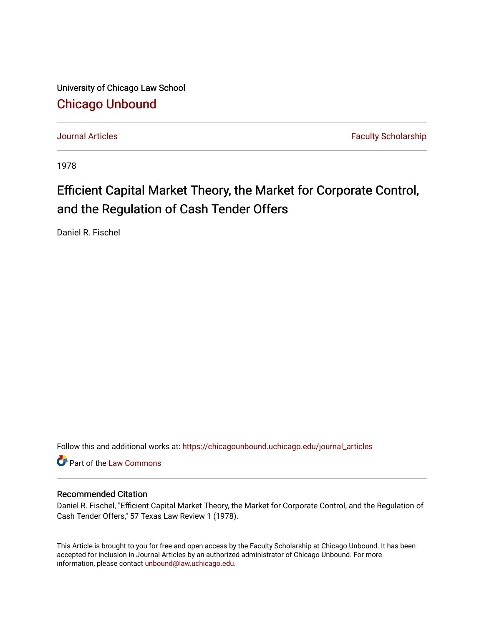University of Chicago Law School [Chicago Unbound](https://chicagounbound.uchicago.edu/)

[Journal Articles](https://chicagounbound.uchicago.edu/journal_articles) **Faculty Scholarship Journal Articles** 

1978

# Efficient Capital Market Theory, the Market for Corporate Control, and the Regulation of Cash Tender Offers

Daniel R. Fischel

Follow this and additional works at: [https://chicagounbound.uchicago.edu/journal\\_articles](https://chicagounbound.uchicago.edu/journal_articles?utm_source=chicagounbound.uchicago.edu%2Fjournal_articles%2F1417&utm_medium=PDF&utm_campaign=PDFCoverPages) 

Part of the [Law Commons](http://network.bepress.com/hgg/discipline/578?utm_source=chicagounbound.uchicago.edu%2Fjournal_articles%2F1417&utm_medium=PDF&utm_campaign=PDFCoverPages)

## Recommended Citation

Daniel R. Fischel, "Efficient Capital Market Theory, the Market for Corporate Control, and the Regulation of Cash Tender Offers," 57 Texas Law Review 1 (1978).

This Article is brought to you for free and open access by the Faculty Scholarship at Chicago Unbound. It has been accepted for inclusion in Journal Articles by an authorized administrator of Chicago Unbound. For more information, please contact [unbound@law.uchicago.edu](mailto:unbound@law.uchicago.edu).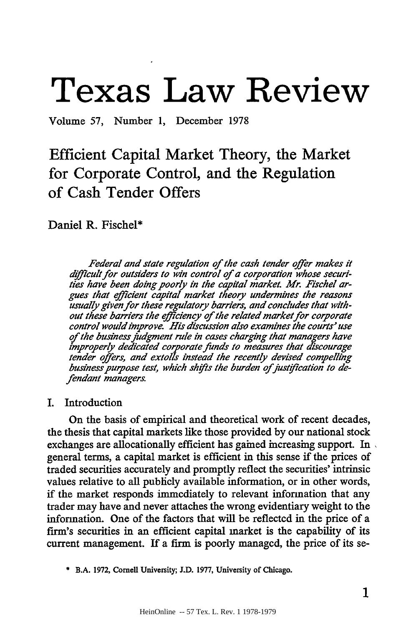# **Texas Law Review**

Volume 57, Number 1, December 1978

# Efficient Capital Market Theory, the Market for Corporate Control, and the Regulation of Cash Tender Offers

Daniel R. Fischel\*

*Federal and state regulation of the cash tender offer makes it dfffcult for outsiders to win control of a corporation whose securi*ties have been doing poorly in the capital market. Mr. Fischel ar*gues that efficient capital market theory undermines the reasons usually given for these regulatory barriers, and concludes that without these barriers the efficiency of the related market for corporate control would improve, His discussion also examines the courts' use of the business judgment rule in cases charging that managers have improperly dedicated corporate funds to measures that discourage tender offers, and extolls instead the recently devised compelling* business purpose test, which shifts the burden of justification to de*fendant managers.*

# I. Introduction

On the basis of empirical and theoretical work of recent decades, the thesis that capital markets like those provided by our national stock exchanges are allocationally efficient has gained increasing support. In general terms, a capital market is efficient in this sense if the prices of traded securities accurately and promptly reflect the securities' intrinsic values relative to all publicly available information, or in other words, if the market responds immediately to relevant information that any trader may have and never attaches the wrong evidentiary weight to the information. One of the factors that will be reflected in the price of a firm's securities in an efficient capital market is the capability of its current management. If a firm is poorly managed, the price of its se-

**\*** B.A. 1972, Cornell University; J.D. 1977, University of Chicago.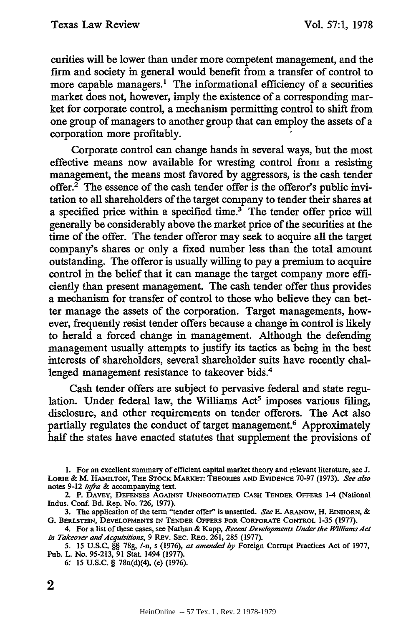curities will be lower than under more competent management, and the firm and society in general would benefit from a transfer of control to more capable managers.<sup>1</sup> The informational efficiency of a securities market does not, however, imply the existence of a corresponding market for corporate control, a mechanism permitting control to shift from one group of managers to another group that can employ the assets of a corporation more profitably.

Corporate control can change hands in several ways, but the most effective means now available for wresting control from a resisting management, the means most favored by aggressors, is the cash tender offer.<sup>2</sup> The essence of the cash tender offer is the offeror's public invitation to all shareholders of the target company to tender their shares at a specified price within a specified time.<sup>3</sup> The tender offer price will generally be considerably above the market price of the securities at the time of the offer. The tender offeror may seek to acquire all the target company's shares or only a fixed number less than the total amount outstanding. The offeror is usually willing to pay a premium to acquire control in the belief that it can manage the target company more efficiently than present management. The cash tender offer thus provides a mechanism for transfer of control to those who believe they can better manage the assets of the corporation. Target managements, however, frequently resist tender offers because a change in control is likely to herald a forced change in management. Although the defending management usually attempts to justify its tactics as being in the best interests of shareholders, several shareholder suits have recently challenged management resistance to takeover bids.<sup>4</sup>

Cash tender offers are subject to pervasive federal and state regulation. Under federal law, the Williams Act<sup>5</sup> imposes various filing, disclosure, and other requirements on tender offerors. The Act also partially regulates the conduct of target management.<sup>6</sup> Approximately half the states have enacted statutes that supplement the provisions of

**<sup>1.</sup>** For an excellent summary of efficient capital market theory and relevant literature, see **J. LORIE** & M. HAMILTON, **THE STOCK** MARKET: **THEORIES AND EVIDENCE 70-97 (1973).** *See also* notes 9-12 *infra &* accompanying text.

<sup>2.</sup> P. DAVEY, DEFENSES **AGAINST UNNEGOTIATED** CASH TENDER OFFERS 1-4 (National Indus. Conf. Bd. Rep. No. 726, 1977).

<sup>3.</sup> The application of the term "tender offer" is unsettled. *See* E. ARANOW, H. **EINHORN,** & **G. BERLSTEIN, DEVELOPMENTS IN TENDER OFFERS FOR CORPORATE CONTROL** 1-35 **(1977).**

<sup>4.</sup> **For** a list **of** these cases, **see** Nathan & Kapp, *Recent Developments Under the WllliamsAclt in Takeover and Acquisitions*, 9 REV. SEC. REG. 261, 285 (1977).

<sup>5. 15</sup> U.S.C. **§§ 78g,** 1-n, s (1976), *as amended by* Foreign Corrupt Practices Act of 1977, Pub. L. No. 95-213, 91 Stat. 1494 (1977).

<sup>6: 15</sup> **U.S.C.** § 78n(d)(4), (e) (1976).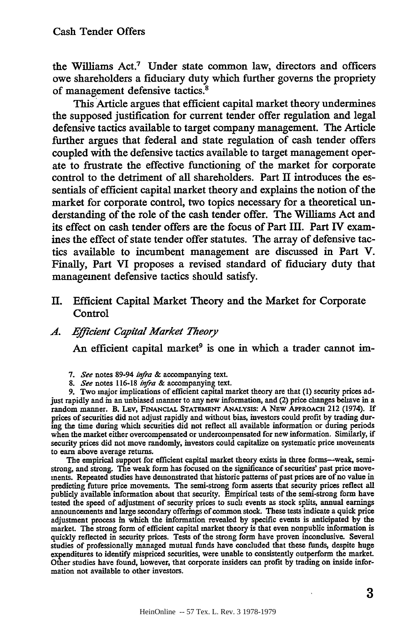the Williams **Act.<sup>7</sup>**Under state common law, directors and officers owe shareholders a fiduciary duty which further governs the propriety of management defensive tactics.'

This Article argues that efficient capital market theory undermines the supposed justification for current tender offer regulation and legal defensive tactics available to target company management. The Article further argues that federal and state regulation of cash tender offers coupled with the defensive tactics available to target management operate to frustrate the effective functioning of the market for corporate control to the detriment of all shareholders. Part II introduces the essentials of efficient capital market theory and explains the notion of the market for corporate control, two topics necessary for a theoretical understanding of the role of the cash tender offer. The Williams Act and its effect on cash tender offers are the focus of Part III. Part IV examines the effect of state tender offer statutes. The array of defensive tactics available to incumbent management are discussed in Part V. Finally, Part VI proposes a revised standard of fiduciary duty that management defensive tactics should satisfy.

II. Efficient Capital Market Theory and the Market for Corporate Control

#### *4. Efficient Capital Market Theory*

An efficient capital market<sup>9</sup> is one in which a trader cannot im-

- *7. See* notes 89-94 *infra &* accompanying text.
- **8.** *See* notes **116-18** *infra* & accompanying text.

**9.** Two major implications of efficient capital market theory are that **(1)** security prices adjust rapidly and in an unbiased manner to any new information, and (2) price changes behave in a random manner. B. LEv, FINANCIAL STATEMENT ANALYSIS: A NEW APPROACH 212 (1974). **If** prices of securities did not adjust rapidly and without bias, investors could profit **by** trading during the time during which securities did not reflect all available information or during periods when the market either overcompensated or undercompensated for new information. Similarly, if security prices did not move randomly, investors could capitalize on systematic price movements to earn above average returns.

The empirical support for efficient capital market theory exists in three forms--weak, semistrong, and strong. The weak form has focused on the significance of securities' past price movements. Repeated studies have demonstrated that historic patterns of past prices are of no value in predicting future price movements. The semi-strong form asserts that security prices reflect all publicly available information about that security. Empirical tests of the semi-strong form have tested the speed of adjustment of security prices to such events as stock splits, annual earnings announcements and large secondary offerings of common stock. These tests indicate a quick price adjustment process in which the information revealed by specific events is anticipated by the market. The strong form of efficient capital market theory is that even nonpublic information is quickly reflected in security prices. Tests of the strong form have proven inconclusive. Several studies of professionally managed mutual funds have concluded that these funds, despite huge expenditures to identify mispriced securities, were unable to consistently outperform the market. Other studies have found, however, that corporate insiders can profit by trading on inside information not available to other investors.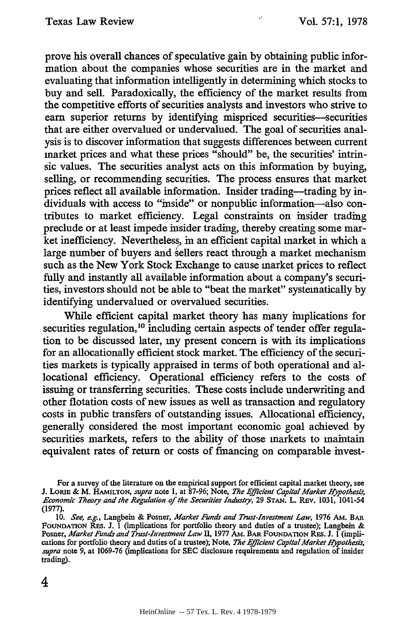prove his overall chances of speculative gain by obtaining public information about the companies whose securities are in the market and evaluating that information intelligently in determining which stocks to buy and sell. Paradoxically, the efficiency of the market results from the competitive efforts of securities analysts and investors who strive to earn superior returns by identifying mispriced securities-securities that are either overvalued or undervalued. The goal of securities analysis is to discover information that suggests differences between current market prices and what these prices "should" be, the securities' intrinsic values. The securities analyst acts on this information by buying, selling, or recommending securities. The process ensures that market prices reflect all available information. Insider trading--trading by individuals with access to "inside" or nonpublic information-also contributes to market efficiency. Legal constraints on insider trading preclude or at least impede insider trading, thereby creating some market inefficiency. Nevertheless, in an efficient capital market in which a large number of buyers and sellers react through a market mechanism such as the New York Stock Exchange to cause market prices to reflect fully and instantly all available information about a company's securities, investors should not be able to "beat the market" systematically by identifying undervalued or overvalued securities.

While efficient capital market theory has many implications for securities regulation,<sup>10</sup> including certain aspects of tender offer regulation to be discussed later, my present concern is with its implications for an allocationally efficient stock market. The efficiency of the securities markets is typically appraised in terms of both operational and allocational efficiency. Operational efficiency refers to the costs of issuing or transferring securities. These costs include underwriting and other flotation costs of new issues as well as transaction and regulatory costs in public transfers of outstanding issues. Allocational efficiency, generally considered the most important economic goal achieved by securities markets, refers to the ability of those markets to maintain equivalent rates of return or costs of financing on comparable invest-

For a survey of the literature on the empirical support for efficient capital market theory, see **J.** Lo Ri & M. **HAMILTON,** *supra* note 1, at 87-96; Note, *The Efficient CapitalMarket Hypothesis, Economic Theory and the Regulation* of the Securities *Industry,* 29 **STAN.** L. REv. **1031,** 1041-54 **(1977).**

**<sup>10.</sup>** *See, e.g.,* Langbein & Posner, *Market Funds and Trust-Investment Law,* **1976** AM. **BAR** FOUNDATION REs. **J. I** (implications for portfolio theory and duties of a trustee); Langbein & Posner, *Market Funds and Trust-Investment Law* **II, 1977** AM. **BAR** FOUNDATION REs. **J.** I (implications for portfolio theory and duties of a trustee); Note, *The Efficient Capital Market Hypothesis, supra* note 9, at 1069-76 (implications for SEC disclosure requirements and regulation of insider trading).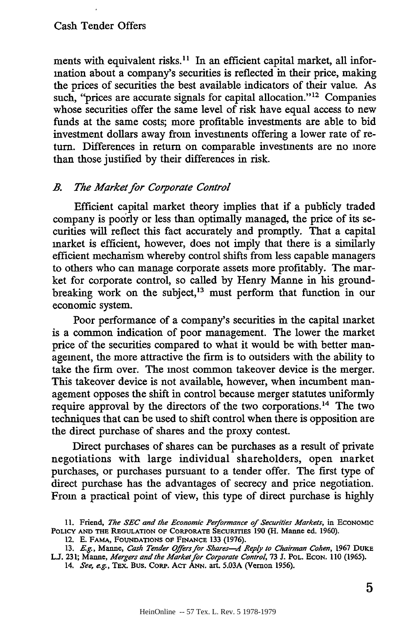ments with equivalent risks.<sup>11</sup> In an efficient capital market, all information about a company's securities is reflected in their price, making the prices of securities the best available indicators of their value. As such, "prices are accurate signals for capital allocation."<sup>12</sup> Companies whose securities offer the same level of risk have equal access to new funds at the same costs; more profitable investments are able to bid investment dollars away from investments offering a lower rate of return. Differences in return on comparable investments are no more than those justified by their differences in risk.

#### *B. The Market for Corporate Control*

Efficient capital market theory implies that if a publicly traded company is poorly or less than optimally managed, the price of its securities will reflect this fact accurately and promptly. That a capital market is efficient, however, does not imply that there is a similarly efficient mechanism whereby control shifts from less capable managers to others who can manage corporate assets more profitably. The market for corporate control, so called by Henry Manne in his groundbreaking work on the subject,<sup>13</sup> must perform that function in our economic system.

Poor performance of a company's securities in the capital market is a common indication of poor management. The lower the market price of the securities compared to what it would be with better management, the more attractive the firm is to outsiders with the ability to take the firm over. The most common takeover device is the merger. This takeover device is not available, however, when incumbent management opposes the shift in control because merger statutes uniformly require approval by the directors of the two corporations.<sup>14</sup> The two techniques that can be used to shift control when there is opposition are the direct purchase of shares and the proxy contest.

Direct purchases of shares can be purchases as a result of private negotiations with large individual shareholders, open market purchases, or purchases pursuant to a tender offer. The first type of direct purchase has the advantages of secrecy and price negotiation. From a practical point of view, this type of direct purchase is highly

**<sup>11.</sup>** Friend, *The SEC and the Economic Performance of Securities Markets,* in ECONOMIC **POLICY AND THE REGULATION** OF CORPORATE SECURITIES **190** (H. Manne ed. **1960).**

<sup>12.</sup> **E.** FAMA, **FOUNDATIONS** OF **FINANCE 133 (1976).**

**<sup>13.</sup>** *E.g.,* Manne, *Cash Tender Offers for Shares-A Reply to Chairman Cohen,* **1967 DUKE LJ. 231;** Manne, *Mergers and the Market for Corporate* Control, **73 J.** POL. **ECON. 110 (1965).**

<sup>14.</sup> See, e.g., TEX. Bus. CORP. ACT ANN. art. 5.03A (Vernon 1956).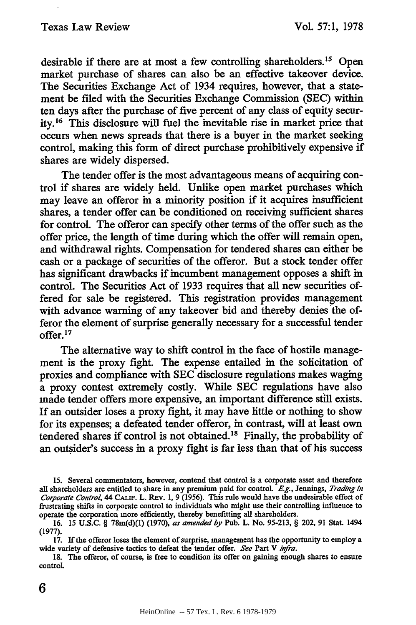desirable if there are at most a few controlling shareholders.<sup>15</sup> Open market purchase of shares can also be an effective takeover device. The Securities Exchange Act of 1934 requires, however, that a statement be filed with the Securities Exchange Commission (SEC) within ten days after the purchase of five percent of any class of equity security.<sup>16</sup> This disclosure will fuel the mevitable rise in market price that occurs when news spreads that there is a buyer in the market seeking control, making this form of direct purchase prohibitively expensive if shares are widely dispersed.

The tender offer is the most advantageous means of acquiring control if shares are widely held. Unlike open market purchases which may leave an offeror in a minority position if it acquires insufficient shares, a tender offer can be conditioned on receiving sufficient shares for control. The offeror can specify other terms of the offer such as the offer price, the length of time during which the offer will remain open, and withdrawal rights. Compensation for tendered shares can either be cash or a package of securities of the offeror. But a stock tender offer has significant drawbacks if incumbent management opposes a shift in control. The Securities Act of 1933 requires that all new securities offered for sale be registered. This registration provides management with advance warning of any takeover bid and thereby denies the offeror the element of surprise generally necessary for a successful tender offer.<sup>17</sup>

The alternative way to shift control in the face of hostile management is the proxy fight. The expense entailed in the solicitation of proxies and compliance with SEC disclosure regulations makes waging a proxy contest extremely costly. While SEC regulations have also made tender offers more expensive, an important difference still exists. If an outsider loses a proxy fight, it may have little or nothing to show for its expenses; a defeated tender offeror, in contrast, will at least own tendered shares if control is not obtained."8 Finally, the probability of an outsider's success in a proxy fight is far less than that of his success

**<sup>15.</sup>** Several commentators, however, contend that control is a corporate asset and therefore all shareholders are entitled to share in any premium paid for control. *Eg.,* Jennings, *Trading in Corporate Control,* 44 CALIF. L. REv. 1, 9 (1956). This rule would have the undesirable effect of frustrating shifts in corporate control to individuals who might use their controlling influence to operate the corporation more efficiently, thereby benefitting all shareholders.

<sup>16. 15</sup> U.S.C. § 78m(d)(1) (1970), *as amended by* Pub. L. No. 95-213, § 202, 91 Stat. 1494 (1977).

<sup>17.</sup> If the offeror loses the element of surprise, management has the opportunity to employ a wide variety of defensive tactics to defeat the tender offer. *See* Part V *infra.*

**<sup>18.</sup>** The offeror, of course, is free to condition its offer on gaining enough shares to ensure control.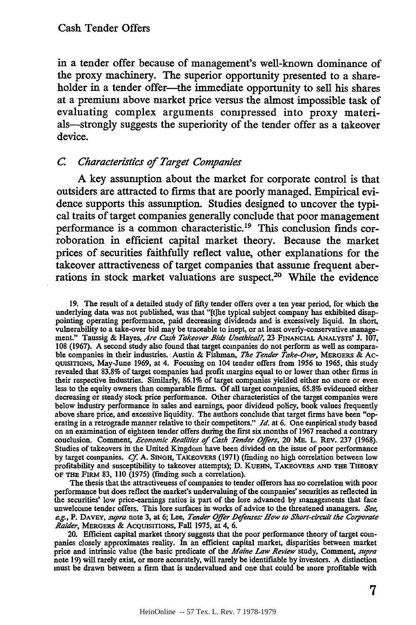in a tender offer because of management's well-known dominance of the proxy machinery. The superior opportunity presented to a shareholder in a tender offer-the immediate opportunity to sell his shares at a premium above market price versus the almost impossible task of evaluating complex arguments compressed into proxy materials-strongly suggests the superiority of the tender offer as a takeover device.

### *C. Characteristics of Target Companies*

**A** key assumption about the market for corporate control is that outsiders are attracted to firms that are poorly managed. Empirical evidence supports this assumption. Studies designed to uncover the typical traits of target companies generally conclude that poor management performance is a common characteristic.19 This conclusion finds corroboration in efficient capital market theory. Because the market prices of securities faithfully reflect value, other explanations for the takeover attractiveness of target companies that assume frequent aberrations in stock market valuations are suspect.20 While the evidence

**19.** The result of a detailed study of fifty tender offers over a ten year period, for which the underlying data was not published, was that "[t]he typical subject company has exhibited disappointing operating performance, paid decreasing dividends and is excessively liquid. In short, vulnerability to a take-over bid may be traceable to inept, or at least overly-conservative management." Taussig & Hayes, *Are Cash Takeover Bids Unethical?,* **23** FINANCIAL **ANALYSTS'** J. **107,** 108 (1967). A second study also found that target companies do not perform as well as comparable companies **in** their industries. Austin & Fishman, *7he Tender Take-Over,* **MERGERS** & Ac-QUISITIONs, May-June 1969, at 4. Focusing on 104 tender offers from 1956 to 1965, this study revealed that 83.8% of target companies had profit margins equal to or lower than other firms in their respective industries. Similarly, 86.1% of target companies yielded either no more or even less to the equity owners than comparable firms. Of all target companies, 65.8% evidenced either decreasing or steady stock price performance. Other characteristics of the target companies were below industry performance in sales and earnings, poor dividend policy, book values frequently above share price, and excessive liquidity. The authors conclude that target firms have been "operating in a retrograde manner relative to their competitors." *Id.* at **6.** One empirical study based on an examination of eighteen tender offers during the first six months of 1967 reached a contrary conclusion. Comment, *Economic Realities of Cash Tender Offers,* 20 ME. L. REV. 237 (1968). Studies of takeovers in the United Kingdom have been divided on the issue of poor performance by target companies. *Cf.* A. **SINGH,** TAKEOVERS (1971) (finding no high correlation between low profitability and susceptibility to takeover attempts); D. KUEHN, TAKEOVERS **AND THE THEORY** OF **THE** FIRM 83, **110** (1975) (finding such a correlation).

The thesis that the attractiveness of companies to tender offerors has no correlation with poor performance but does reflect the market's undervaluing of the companies' securities as reflected in the securities' low price-earnings ratios is part of the lore advanced by managements that face unwelcome tender offers. This lore surfaces in works of advice to the threatened managers. *See, eg.,* P. **DAVEY,** *supra* note 3, at **6;** Lee, *Tender Offer Defenses: How to Short-circuit the Corporate Raider,* MERGERS & AcQuIsITIONs, Fall 1975, at 4, 6.

20. Efficient capital market theory suggests that the poor performance theory of target companies closely approximates reality. In an efficient capital market, disparities between market price and intrinsic value (the basic predicate of the *Maine Law Review* study, Comment, *supra* note 19) will rarely exist, or more accurately, will rarely be identifiable by investors. A distinction must be drawn between a firm that is undervalued and one that could be more profitable with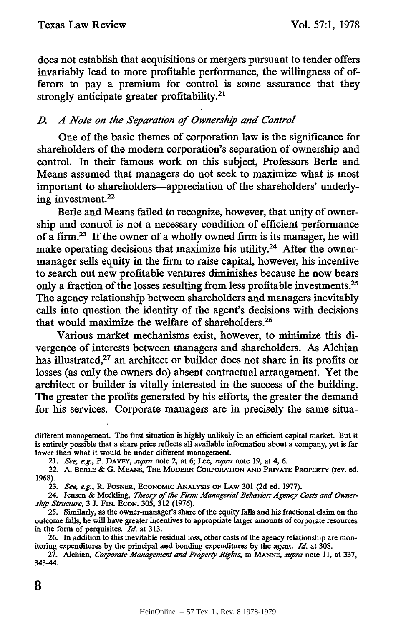does not establish that acquisitions or mergers pursuant to tender offers invariably lead to more profitable performance, the willingness of offerors to pay a premium for control is some assurance that they strongly anticipate greater profitability.2'

# *D. A Note on the Separation of Ownership and Control*

One of the basic themes of corporation law is the significance for shareholders of the modem corporation's separation of ownership and control. In their famous work on this subject, Professors Berle and Means assumed that managers do not seek to maximize what is most important to shareholders-appreciation of the shareholders' underlying investment.<sup>22</sup>

Berle and Means failed to recognize, however, that unity of ownership and control is not a necessary condition of efficient performance of a firm.<sup>23</sup> If the owner of a wholly owned firm is its manager, he will make operating decisions that maximize his utility.<sup>24</sup> After the ownermanager sells equity in the firm to raise capital, however, his incentive to search out new profitable ventures diminishes because he now bears only a fraction of the losses resulting from less profitable investments.25 The agency relationship between shareholders and managers inevitably calls into question the identity of the agent's decisions with decisions that would maximize the welfare of shareholders.26

Various market mechanisms exist, however, to minimize this divergence of interests between managers and shareholders. As Alchian has illustrated,<sup>27</sup> an architect or builder does not share in its profits or losses (as only the owners do) absent contractual arrangement. Yet the architect or builder is vitally interested in the success of the building. The greater the profits generated by his efforts, the greater the demand for his services. Corporate managers are in precisely the same situa-

21. *See, e.g.,* P. DAVEY, *supra* note 2, at **6;** Lee, *supra* note 19, at 4, 6.

22. A. **BERLE &** G. MEANs, **THE MODERN CORPORATION AND PRIVATE PROPERTY** (rev. **ed.** 1968).

**23.** *See, eg.,* **R. POSNER, ECONOMIC ANALYsIs OF LAW 301 (2d** ed. **1977).**

24. Jensen & Meckling, Theory of the Firm: Managerial Behavior: Agency Costs and Owner*ship Structure,* 3 J. FIN. **ECON.** 305, 312 (1976).

25. Similarly, as the owner-manager's share of the equity falls and his fractional claim on the outcome falls, he will have greater incentives to appropriate larger amounts of corporate resources in the form of perquisites. *Id.* at 313.

26. In addition to this inevitable residual loss, other costs of the agency relationship are monitoring expenditures by the principal and bonding expenditures by the agent. *Id.* at 308.

27. Alchian, *Corporate Management and Property Rights,* in *MANE, supra* note **11,** at 337, 343-44.

different management. The first situation is highly unlikely in an efficient capital market. But it is entirely possible that a share price reflects all available information about a company, yet is far lower than what it would be under different management.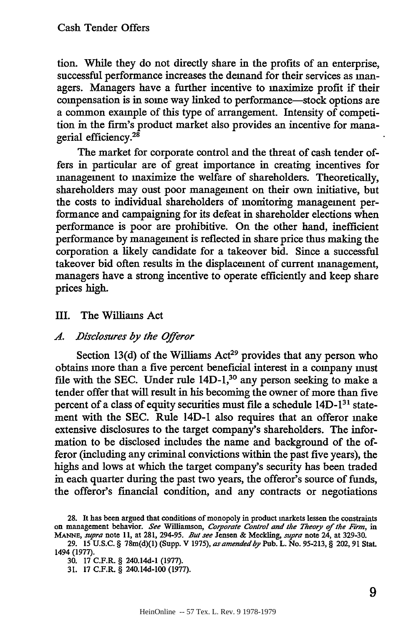tion. While they do not directly share in the profits of an enterprise, successful performance increases the demand for their services as managers. Managers have a further incentive to maximize profit if their compensation is in some way linked to performance-stock options are a common example of this type of arrangement. Intensity of competition in the firm's product market also provides an incentive for managerial efficiency.<sup>21</sup>

The market for corporate control and the threat of cash tender offers in particular are of great importance in creating incentives for management to maximize the welfare of shareholders. Theoretically, shareholders may oust poor management on their own initiative, but the costs to individual shareholders of monitoring management performance and campaigning for its defeat in shareholder elections when performance is poor are prohibitive. On the other hand, inefficient performance by management is reflected in share price thus making the corporation a likely candidate for a takeover bid. Since a successful takeover bid often results in the displacement of current management, managers have a strong incentive to operate efficiently and keep share prices high.

#### III. The Williams Act

#### *A. Disclosures by the Offeror*

Section 13(d) of the Williams Act<sup>29</sup> provides that any person who obtains more than a five percent beneficial interest in a company must file with the SEC. Under rule 14D-1,<sup>30</sup> any person seeking to make a tender offer that will result in his becoming the owner of more than five percent of a class of equity securities must file a schedule  $14D-1<sup>31</sup>$  statement with the SEC. Rule 14D-1 also requires that an offeror make extensive disclosures to the target company's shareholders. The information to be disclosed includes the name and background of the offeror (including any criminal convictions within the past five years), the highs and lows at which the target company's security has been traded in each quarter during the past two years, the offeror's source of funds, the offeror's financial condition, and any contracts or negotiations

**<sup>28.</sup>** It has been argued that conditions of monopoly in product markets lessen the constraints on management behavior. *See* Williamson, *Corporate Control and the Theory of the Firm, in MANE, supra* note 11, at 281, 294-95. *But see* Jensen & Meckling, *supra* note 24, at 329-30.

<sup>29. 15</sup> U.S.C. § 78m(d)(1) (Supp. V **1975),** *as amended by* Pub. L. No. 95-213, § 202,91 Stat. 1494 (1977).

**<sup>30.</sup>** 17 C.F.R. § 240.14d-1 (1977).

**<sup>31.</sup>** 17 **C.FR.** § 240.14d-100 (1977).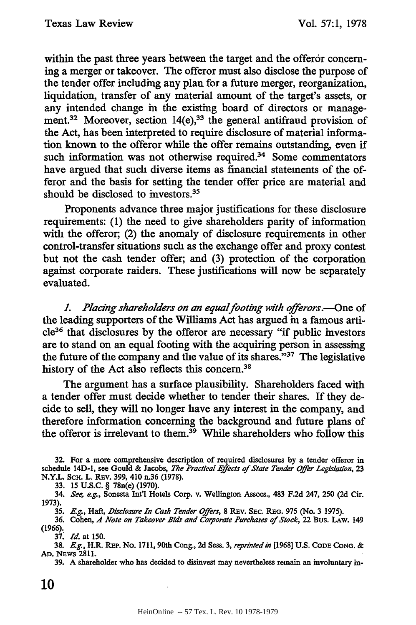within the past three years between the target and the offeror concern**ing** a merger or takeover. The offeror must also disclose the purpose of the tender offer including any plan for a future merger, reorganization, liquidation, transfer of any material amount of the target's assets, or any intended change in the existing board of directors or management.<sup>32</sup> Moreover, section 14(e),<sup>33</sup> the general antifraud provision of the Act, has been interpreted to require disclosure of material information known to the offeror while the offer remains outstanding, even if such information was not otherwise required.<sup>34</sup> Some commentators have argued that such diverse items as financial statements of the offeror and the basis for setting the tender offer price are material and should be disclosed to investors.<sup>35</sup>

Proponents advance three major justifications for these disclosure requirements: (1) the need to give shareholders parity of information with the offeror, (2) the anomaly of disclosure requirements in other control-transfer situations such as the exchange offer and proxy contest but not the cash tender offer; and (3) protection of the corporation against corporate raiders. These justifications will now be separately evaluated.

*L Placing shareholders on an equalfooting with offerors.-One* of the leading supporters of the Williams Act has argued in a famous arti**cle<sup>3</sup> <sup>6</sup>**that disclosures by the offeror are necessary "if public investors are to stand on an equal footing with the acquiring person in assessing the future of the company and the value of its shares."37 The legislative history of the Act also reflects this concern.<sup>38</sup>

The argument has a surface plausibility. Shareholders faced with a tender offer must decide whether to tender their shares. If they decide to sell, they will no longer have any interest in the company, and therefore information concerning the background and future plans of the offeror is irrelevant to them.<sup>39</sup> While shareholders who follow this

32. For a more comprehensive description of required disclosures by a tender offeror in schedule 14D-1, see Gould & Jacobs, *The Practical Effects of State Tender Offer Legislation,* **23** N.Y.L. SCH. L. REv. 399, 410 n.36 (1978).

33. 15 U.S.C. § 78n(e) (1970).

34. *See, eg.,* Sonesta Int'l Hotels Corp. v. Wellington Assocs., 483 F.2d 247, 250 (2d Cir. 1973).

35. *E.g.,* Haft, *Disclosure In Cash Tender Offers,* 8 REv. SEc. **REG. 975** (No. 3 1975).

**36.** Cohen, *A Note on Takeover Bids and Corporate Purchases of Stock,* 22 Bus. LAW. 149 (1966).

37. *Id.* at 150.

38. *Eg.,* H.R. **REP.** No. 1711,90th Cong., 2d Sess. **3,** *reprinted in* **[1968]** U.S. **CODE CONG. &** *AD.* NEws 2811.

39. A shareholder who has decided to disinvest may nevertheless remain an involuntary in-

10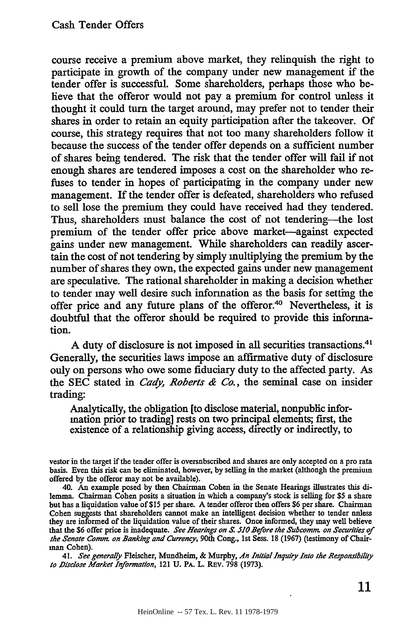course receive a premium above market, they relinquish the right to participate in growth of the company under new management if the tender offer is successful. Some shareholders, perhaps those who believe that the offeror would not pay a premium for control unless it thought it could turn the target around, may prefer not to tender their shares in order to retain an equity participation after the takeover. Of course, this strategy requires that not too many shareholders follow it because the success of the tender offer depends on a sufficient number of shares being tendered. The risk that the tender offer will fail if not enough shares are tendered imposes a cost on the shareholder who refuses to tender in hopes of participating in the company under new management. If the tender offer is defeated, shareholders who refused to sell lose the premium they could have received had they tendered. Thus, shareholders must balance the cost of not tendering-the lost premium of the tender offer price above market-against expected gains under new management. While shareholders can readily ascertain the cost of not tendering by simply multiplying the premium by the number of shares they own, the expected gains under new management are speculative. The rational shareholder in making a decision whether to tender may well desire such information as the basis for setting the offer price and any future plans of the offeror.<sup>40</sup> Nevertheless, it is doubtful that the offeror should be required to provide this information.

A duty of disclosure is not imposed in all securities transactions. <sup>41</sup> Generally, the securities laws impose an affirmative duty of disclosure only on persons who owe some fiduciary duty to the affected party. As the SEC stated in *Cady, Roberts & Co.,* the seminal case on insider trading:

Analytically, the obligation [to disclose material, nonpublic information prior to trading] rests on two principal elements; first, the existence of a relationship giving access, directly or indirectly, to

vestor in the target if the tender offer is oversubscribed and shares are only accepted on a pro rata basis. Even this risk can be eliminated, however, **by** selling in the market (although the premium offered by the offeror may not be available).

40. An example posed by then Chairman Cohen in the Senate Hearings illustrates this dilemma. Chairman Cohen posits a situation in which a company's stock is selling for \$5 a share but has a liquidation value of \$15 per share. A tender offeror then offers \$6 per share. Chairman Cohen suggests that shareholders cannot make an intelligent decision whether to tender nnless they are informed of the liquidation value of their shares. Once informed, they may well believe that the \$6 offer price is inadequate. *See Hearings on S. 510 Before the Subcomnm on Securities of the Senate Comm on Banking and Currency,* 90th Cong., Ist Sess. 18 (1967) (testimony of Chairman Cohen).

41. *See generally* Fleischer, Mundheim, **&** Murphy, *An Initial Inquiry Into the Responsibility to Disclose Market Information,* 121 **U.** PA. L. REv. 798 (1973).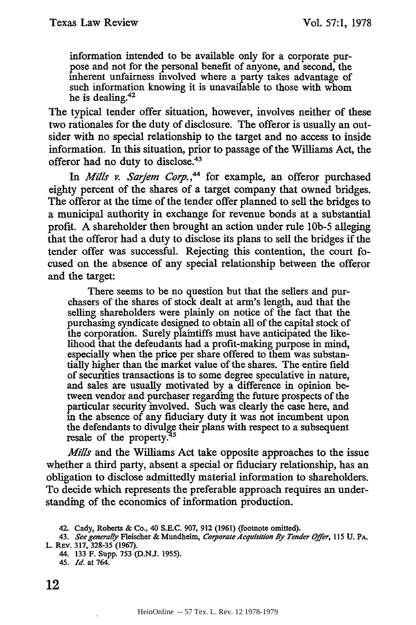information intended to be available only for a corporate purpose and not for the personal benefit of anyone, and second, the inherent unfairness involved where a party takes advantage of such information knowing it is unavailable to those with whom he is dealing.<sup>42</sup>

The typical tender offer situation, however, involves neither of these two rationales for the duty of disclosure. The offeror is usually an outsider with no special relationship to the target and no access to inside information. In this situation, prior to passage of the Williams Act, the offeror had no duty to disclose.<sup>43</sup>

In *Mills v. Sarjem Corp.*,<sup>44</sup> for example, an offeror purchased eighty percent of the shares of a target company that owned bridges. The offeror at the time of the tender offer planned to sell the bridges to a municipal authority in exchange for revenue bonds at a substantial profit. A shareholder then brought an action under rule **lob-5** alleging that the offeror had a duty to disclose its plans to sell the bridges if the tender offer was successful. Rejecting this contention, the court focused on the absence of any special relationship between the offeror and the target:

There seems to be no question but that the sellers and purchasers of the shares of stock dealt at arm's length, and that the selling shareholders were plainly on notice of the fact that the purchasing syndicate designed to obtain all of the capital stock of the corporation. Surely plaintiffs must have anticipated the likelihood that the defendants had a profit-making purpose in mind, especially when the price per share offered to them was substantially higher than the market value of the shares. The entire field of securities transactions is to some degree speculative in nature, and sales are usually motivated by a difference in opinion between vendor and purchaser regarding the future prospects of the particular security involved. Such was clearly the case here, and in the absence of any fiduciary duty it was not incumbent upon the defendants to divulge their plans with respect to a subsequent resale of the property.

*Mills* and the Williams Act take opposite approaches to the issue whether a third party, absent a special or fiduciary relationship, has an obligation to disclose admittedly material information to shareholders. To decide which represents the preferable approach requires an understanding of the economics of information production.

44. 133 F. Supp. 753 (D.NJ. 1955).

<sup>42.</sup> Cady, Roberts & Co., 40 S.E.C. 907, 912 (1961) (footnote omitted).

<sup>43.</sup> *See generally* Fleischer & Mundheim, *Corporate Acquisiltion By Tender Offer,* 115 **U. PA.** L. REv. 317, 328-35 (1967).

<sup>45.</sup> *Id.* at 764.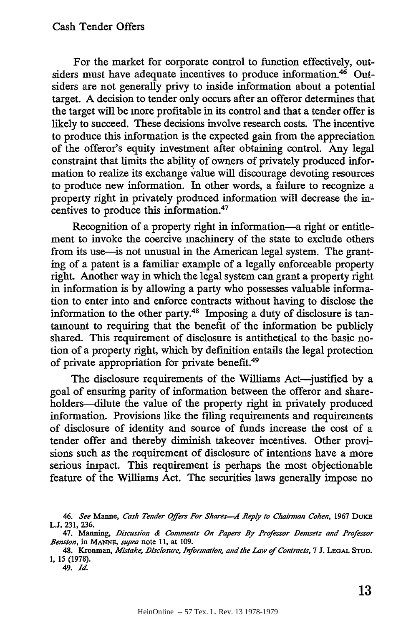For the market for corporate control to function effectively, outsiders must have adequate incentives to produce information.<sup>46</sup> Outsiders are not generally privy to inside information about a potential target. **A** decision to tender only occurs after an offeror determines that the target will be more profitable in its control and that a tender offer is likely to succeed. These decisions involve research costs. The incentive to produce this information is the expected gain from the appreciation of the offeror's equity investment after obtaining control. Any legal constraint that limits the ability of owners of privately produced information to realize its exchange value will discourage devoting resources to produce new information. In other words, a failure to recognize a property right in privately produced information will decrease the incentives to produce this information.47

Recognition of a property right in information-a right or entitlement to invoke the coercive machinery of the state to exclude others from its use—is not unusual in the American legal system. The granting of a patent is a familiar example of a legally enforceable property right. Another way in which the legal system can grant a property right in information is by allowing a party who possesses valuable information to enter into and enforce contracts without having to disclose the information to the other party.48 Imposing a duty of disclosure is tantamount to requiring that the benefit of the information be publicly shared. This requirement of disclosure is antithetical to the basic notion of a property right, which by definition entails the legal protection of private appropriation for private benefit.49

The disclosure requirements of the Williams Act--justified by a goal of ensuring parity of information between the offeror and shareholders-dilute the value of the property right in privately produced information. Provisions like the filing requirements and requirements of disclosure of identity and source of funds increase the cost of a tender offer and thereby diminish takeover incentives. Other provisions such as the requirement of disclosure of intentions have a more serious impact. This requirement is perhaps the most objectionable feature of the Williams Act. The securities laws generally impose no

*<sup>46.</sup> See* Manne, *Cash Tender Offers For Shares-A Reply to Chairman Cohen,* 1967 **DUKE LJ. 231, 236.**

<sup>47.</sup> Manning, *Discussion & Comments On Papers By Professor Demsetz and Professor Benston,* in **MANNE,** *supra* note **11,** at 109.

<sup>48.</sup> Kronman, *Mistake, Disclosure, Information, and the Law of Contracts*, 7 J. LEGAL STUD. 1, 15 (1978).

<sup>49.</sup> *Id.*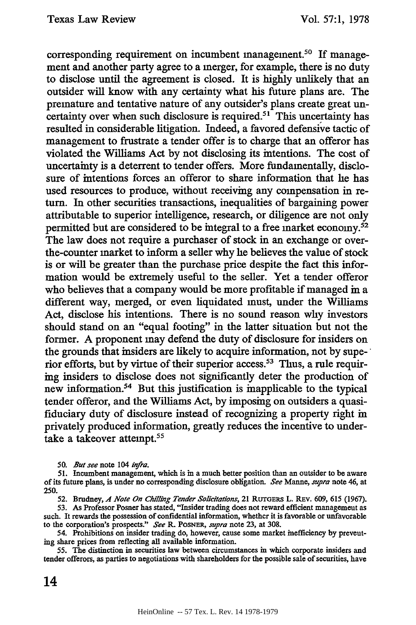corresponding requirement on incumbent management.<sup>50</sup> If management and another party agree to a merger, for example, there is no duty to disclose until the agreement is closed. It is highly unlikely that an outsider will know with any certainty what his future plans are. The premature and tentative nature of any outsider's plans create great uncertainty over when such disclosure is required.<sup>51</sup> This uncertainty has resulted in considerable litigation. Indeed, a favored defensive tactic of management to frustrate a tender offer is to charge that an offeror has violated the Williams Act by not disclosing its intentions. The cost of uncertainty is a deterrent to tender offers. More fundamentally, disclosure of intentions forces an offeror to share information that he has used resources to produce, without receiving any compensation in return. In other securities transactions, inequalities of bargaining power attributable to superior intelligence, research, or diligence are not only permitted but are considered to be integral to a free market economy.<sup>52</sup> The law does not require a purchaser of stock in an exchange or overthe-counter market to inform a seller why he believes the value of stock is or will be greater than the purchase price despite the fact this information would be extremely useful to the seller. Yet a tender offeror who believes that a company would be more profitable if managed in a different way, merged, or even liquidated must, under the Williams Act, disclose his intentions. There is no sound reason why investors should stand on an "equal footing" in the latter situation but not the former. A proponent may defend the duty of disclosure for insiders on the grounds that insiders are likely to acquire information, not by superior efforts, but by virtue of their superior access.53 Thus, a rule requiring insiders to disclose does not significantly deter the production of new information.54 But this justification is inapplicable to the typical tender offeror, and the Williams Act, by imposing on outsiders a quasifiduciary duty of disclosure instead of recognizing a property right in privately produced information, greatly reduces the incentive to undertake a takeover attempt.<sup>55</sup>

*50. But see* note 104 *infra.*

*52.* Brudney, *A4 Note On Chilling Tender Solicitations,* 21 **RuTGEms** L. REv. 609, 615 (1967).

53. As Professor Posner has stated, "Insider trading does not reward efficient management as such. It rewards the possession of confidential information, whether it is favorable or unfavorable to the corporation's prospects.' *See* R. **POSNER,** *supra* note 23, at 308.

54. Prohibitions on insider trading do, however, cause some market inefficiency by preventing share prices from reflecting all available information.

**55.** The distinction in securities law between circumstances in which corporate insiders and tender offerors, as parties to negotiations with shareholders for the possible sale of securities, have

14

**<sup>51.</sup>** Incumbent management, which is in a much better position than an outsider to be aware of its future plans, is under no corresponding disclosure obligation. *See* Manne, *supra* note 46, at **250.**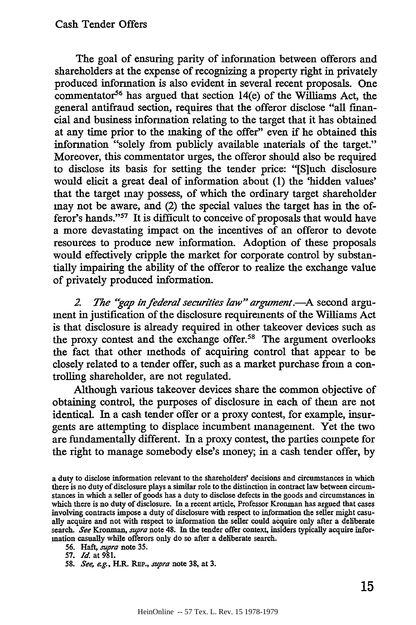The goal of ensuring parity of information between offerors and shareholders at the expense of recognizing a property right in privately produced information is also evident in several recent proposals. One commentator<sup>56</sup> has argued that section  $14(e)$  of the Williams Act, the general antifraud section, requires that the offeror disclose "all financial and business information relating to the target that it has obtained at any time prior to the making of the offer" even if he obtained this information "solely from publicly available materials of the target." Moreover, this commentator urges, the offeror should also be required to disclose its basis for setting the tender price: "[Sluch disclosure would elicit a great deal of information about (1) the 'hidden values' that the target may possess, of which the ordinary target shareholder may not be aware, and (2) the special values the target has in the offeror's hands."<sup>57</sup> It is difficult to conceive of proposals that would have a more devastating impact on the incentives of an offeror to devote resources to produce new information. Adoption of these proposals would effectively cripple the market for corporate control by substantially impairing the ability of the offeror to realize the exchange value of privately produced information.

2. The "gap in federal securities law" argument.—A second argument in justification of the disclosure requirements of the Williams Act is that disclosure is already required in other takeover devices such as the proxy contest and the exchange offer.<sup>58</sup> The argument overlooks the fact that other methods of acquiring control that appear to be closely related to a tender offer, such as a market purchase from a controlling shareholder, are not regulated.

Although various takeover devices share the common objective of obtaining control, the purposes of disclosure in each of them are not identical. In a cash tender offer or a proxy contest, for example, insurgents are attempting to displace incumbent management. Yet the two are fundamentally different. In a proxy contest, the parties compete for the right to manage somebody else's money; in a cash tender offer, by

a duty to disclose information relevant to the shareholders' decisions and circumstances in which there is no duty of disclosure plays a similar role to the distinction in contract law between circumstances in which a seller of goods has a duty to disclose defects in the goods and circumstances in which there is no duty of disclosure. In a recent article, Professor Kronman has argued that cases involving contracts impose a duty of disclosure with respect to information the seller might casually acquire and not with respect to information the seller could acquire only after a deliberate search. *See* Kronman, *supra* note 48. **In** the tender offer context, insiders typically acquire information casually while offerors only do so after a deliberate search.

<sup>56.</sup> Haft, *supra* note 35.

**<sup>57.</sup>** *Id.* at 981.

*<sup>58.</sup> See, eg.,* H.R. REP., *supra* note 38, at 3.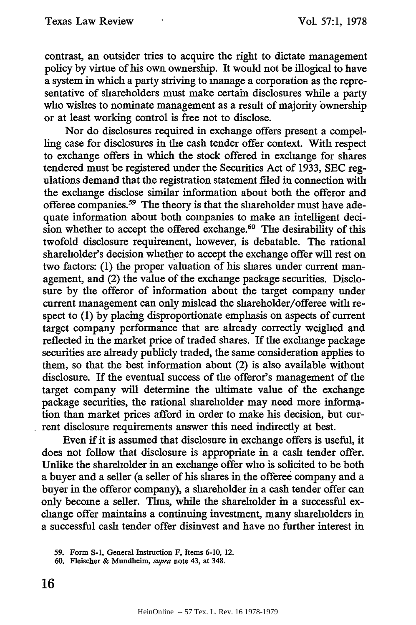contrast, an outsider tries to acquire the right to dictate management policy by virtue of his own ownership. It would not be illogical to have a system in which a party striving to manage a corporation as the representative of shareholders must make certain disclosures while a party who wishes to nominate management as a result of majority ownership or at least working control is free not to disclose.

Nor do disclosures required in exchange offers present a compelling case for disclosures in the cash tender offer context. With respect to exchange offers in which the stock offered in exchange for shares tendered must be registered under the Securities Act of 1933, SEC regulations demand that the registration statement filed in connection with the exchange disclose similar information about both the offeror and offeree companies.<sup>59</sup> The theory is that the shareholder must have adequate information about both companies to make an intelligent decision whether to accept the offered exchange.<sup>60</sup> The desirability of this twofold disclosure requirement, however, is debatable. The rational shareholder's decision whether to accept the exchange offer will rest on two factors: (1) the proper valuation of his shares under current management, and (2) the value of the exchange package securities. Disclosure by the offeror of information about the target company under current management can only mislead the shareholder/offeree with respect to (1) by placing disproportionate emphasis on aspects of current target company performance that are already correctly weighed and reflected in the market price of traded shares. If the exchange package securities are already publicly traded, the same consideration applies to them, so that the best information about (2) is also available without disclosure. If the eventual success of the offeror's management of the target company will determine the ultimate value of the exchange package securities, the rational shareholder may need more information than market prices afford in order to make his decision, but current disclosure requirements answer this need indirectly at best.

Even if it is assumed that disclosure in exchange offers is useful, it does not follow that disclosure is appropriate in a cash tender offer. Unlike the shareholder in an exchange offer who is solicited to be both a buyer and a seller (a seller of his shares in the offeree company and a buyer in the offeror company), a shareholder in a cash tender offer can only become a seller. Thus, while the shareholder in a successful exchange offer maintains a continuing investment, many shareholders in a successful cash tender offer disinvest and have no further interest in

**<sup>59.</sup>** Form S-I, General Instruction F, Items 6-10, 12.

<sup>60.</sup> Fleischer & Mundheim, *supra* note 43, at 348.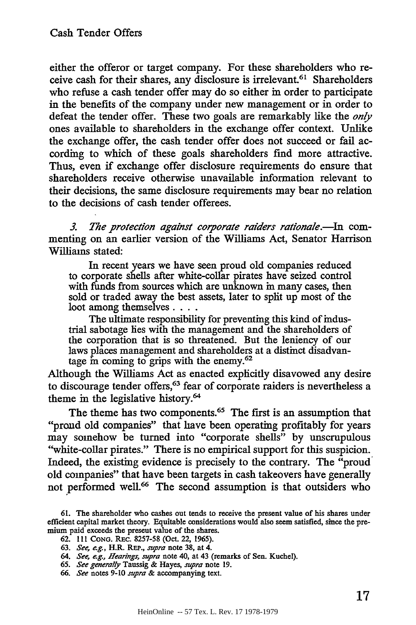either the offeror or target company. For these shareholders who receive cash for their shares, any disclosure is irrelevant.<sup>61</sup> Shareholders who refuse a cash tender offer may do so either in order to participate in the benefits of the company under new management or in order to defeat the tender offer. These two goals are remarkably like the *only* ones available to shareholders in the exchange offer context. Unlike the exchange offer, the cash tender offer does not succeed or fail according to which of these goals shareholders find more attractive. Thus, even if exchange offer disclosure requirements do ensure that shareholders receive otherwise unavailable information relevant to their decisions, the same disclosure requirements may bear no relation to the decisions of cash tender offerees.

*3. The protection against corporate raiders rationale.--In* commenting on an earlier version of the Williams Act, Senator Harrison Williams stated:

In recent years we have seen proud old companies reduced to corporate shells after white-collar pirates have seized control with funds from sources which are unknown in many cases, then sold or traded away the best assets, later to split up most of the loot among themselves **....**

The ultimate responsibility for preventing this kind of industrial sabotage lies with the management and the shareholders of the corporation that is so threatened. But the leniency of our laws places management and shareholders at a distinct disadvantage in coming to grips with the enemy.<sup>62</sup>

Although the Williams Act as enacted explicitly disavowed any desire to discourage tender offers,<sup>63</sup> fear of corporate raiders is nevertheless a theme in the legislative history.<sup>64</sup>

The theme has two components.<sup>65</sup> The first is an assumption that "proud old companies" that have been operating profitably for years may somehow be turned into "corporate shells" by unscrupulous "white-collar pirates." There is no empirical support for this suspicion. Indeed, the existing evidence is precisely to the contrary. The "proud old companies" that have been targets in cash takeovers have generally not performed well.<sup>66</sup> The second assumption is that outsiders who

**<sup>61.</sup>** The shareholder who cashes out tends to receive the present value of his shares under efficient capital market theory. Equitable considerations would also seem satisfied, since the premium paid exceeds the present value of the shares.

<sup>62. 111</sup> **CONG.** REc. 8257-58 (Oct. 22, 1965).

<sup>63.</sup> *See, eg.,* H.R. REP., *supra* note 38, at 4.

*<sup>64.</sup> See, eg., Hearings, supra* note 40, at 43 (remarks of Sen. Kuchel).

*<sup>65.</sup> See generally* Taussig & Hayes, *supra* note 19.

*<sup>66.</sup> See* notes 9-10 *supra &* accompanying text.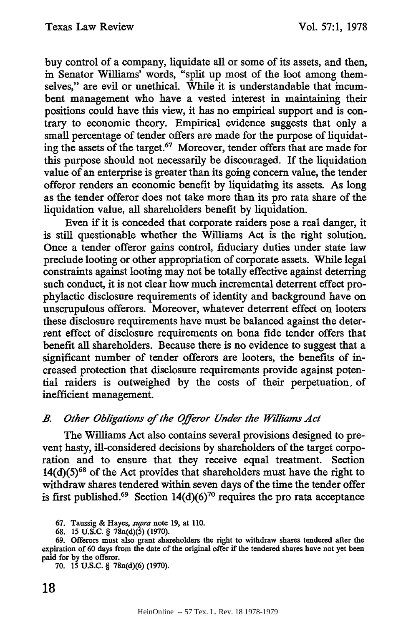buy control of a company, liquidate all or some of its assets, and then, in Senator Williams' words, "split up most of the loot among themselves," are evil or unethical. While it is understandable that incumbent management who have a vested interest in maintaining their positions could have this view, it has no empirical support and is contrary to economic theory. Empirical evidence suggests that only a small percentage of tender offers are made for the purpose of liquidating the assets of the target.67 Moreover, tender offers that are made for this purpose should not necessarily be discouraged. If the liquidation value of an enterprise is greater than its going concern value, the tender offeror renders an economic benefit by liquidating its assets. As long as the tender offeror does not take more than its pro rata share of the liquidation value, all shareholders benefit by liquidation.

Even if it is conceded that corporate raiders pose a real danger, it is still questionable whether the Williams Act is the right solution. Once a tender offeror gains control, fiduciary duties under state law preclude looting or other appropriation of corporate assets. While legal constraints against looting may not be totally effective against deterring such conduct, it is not clear how much incremental deterrent effect prophylactic disclosure requirements of identity and background have on unscrupulous offerors. Moreover, whatever deterrent effect on looters these disclosure requirements have must be balanced against the deterrent effect of disclosure requirements on bona fide tender offers that benefit all shareholders. Because there is no evidence to suggest that a significant number of tender offerors are looters, the benefits of increased protection that disclosure requirements provide against potential raiders is outweighed by the costs of their perpetuation, of inefficient management.

# *B. Other Obligations of the Offeror Under the Williams Act*

The Williams Act also contains several provisions designed to prevent hasty, ill-considered decisions by shareholders of the target corporation and to ensure that they receive equal treatment. Section  $14(d)(5)^{68}$  of the Act provides that shareholders must have the right to withdraw shares tendered within seven days of the time the tender offer is first published.<sup>69</sup> Section  $14(d)(6)^{70}$  requires the pro rata acceptance

70. 15 **U.S.C.** § 78n(d)(6) (1970).

<sup>67.</sup> Taussig & Hayes, *supra* note 19, at 110.

<sup>68. 15</sup> U.S.C. § 78n(d)(5) (1970).

**<sup>69.</sup>** Offerors must also grant shareholders the right to withdraw shares tendered after the expiration **of 60** days from the date of the original offer if the tendered shares have not yet been paid for by the offeror.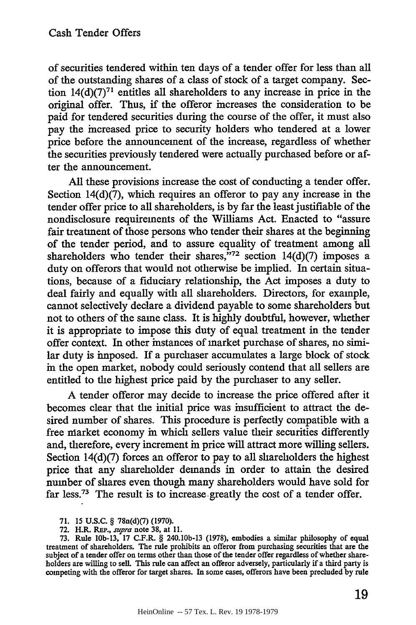of securities tendered within ten days of a tender offer for less than all of the outstanding shares of a class of stock of a target company. Section  $14(d)(7)^{71}$  entitles all shareholders to any increase in price in the original offer. Thus, if the offeror increases the consideration to be paid for tendered securities during the course of the offer, it must also pay the increased price to security holders who tendered at a lower price before the announcement of the increase, regardless of whether the securities previously tendered were actually purchased before or after the announcement.

All these provisions increase the cost of conducting a tender offer. Section  $14(d)(7)$ , which requires an offeror to pay any increase in the tender offer price to all shareholders, is by far the least justifiable of the nondisclosure requirements of the Williams Act. Enacted to "assure fair treatment of those persons who tender their shares at the beginning of the tender period, and to assure equality of treatment among all shareholders who tender their shares,  $\frac{572}{72}$  section 14(d)(7) imposes a duty on offerors that would not otherwise be implied. In certain situations, because of a fiduciary relationship, the Act imposes a duty to deal fairly and equally with all shareholders. Directors, for example, cannot selectively declare a dividend payable to some shareholders but not to others of the same class. It is highly doubtful, however, whether it is appropriate to impose this duty of equal treatment in the tender offer context. In other instances of market purchase of shares, no similar duty is imposed. If a purchaser accumulates a large block of stock in the open market, nobody could seriously contend that all sellers are entitled to the highest price paid by the purchaser to any seller.

A tender offeror may decide to increase the price offered after it becomes clear that the initial price was insufficient to attract the desired number of shares. This procedure is perfectly compatible with a free niarket economy in which sellers value their securities differently and, therefore, every increment in price will attract more willing sellers. Section 14(d)(7) forces an offeror to pay to all shareholders the highest price that any shareholder demands in order to attain the desired number of shares even though many shareholders would have sold for far less.73 The result is to increase greatly the cost of a tender offer.

71. 15 U.S.C. § 78n(d)(7) (1970).

72. H.R. REP., *supra* note 38, at **11.**

73. Rule lOb-13, 17 C.F.R. § 240.10b-13 (1978), embodies a similar philosophy of equal treatment of shareholders. The rule prohibits an offeror from purchasing securities that are the subject of a tender offer on terms other than those of the tender offer regardless of whether shareholders are willing to sell. This rule can affect an offeror adversely, particularly if a third party is competing with the offeror for target shares. In some cases, offerors have been precluded by rule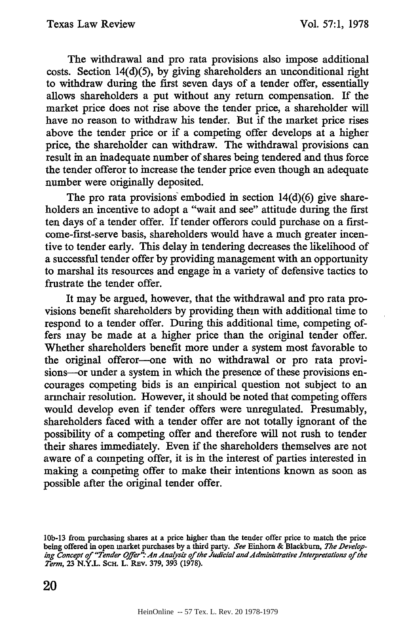The withdrawal and pro rata provisions also impose additional costs. Section 14(d)(5), by giving shareholders an unconditional right to withdraw during the first seven days of a tender offer, essentially allows shareholders a put without any return compensation. If the market price does not rise above the tender price, a shareholder will have no reason to withdraw his tender. But if the market price rises above the tender price or if a competing offer develops at a higher price, the shareholder can withdraw. The withdrawal provisions can result in an inadequate number of shares being tendered and thus force the tender offeror to increase the tender price even though an adequate number were originally deposited.

The pro rata provisions embodied in section  $14(d)(6)$  give shareholders an incentive to adopt a "wait and see" attitude during the first ten days of a tender offer. If tender offerors could purchase on a firstcome-first-serve basis, shareholders would have a much greater incentive to tender early. This delay in tendering decreases the likelihood of a successful tender offer by providing management with an opportunity to marshal its resources and engage in a variety of defensive tactics to frustrate the tender offer.

It may be argued, however, that the withdrawal and pro rata provisions benefit shareholders by providing them with additional time to respond to a tender offer. During this additional time, competing offers may be made at a higher price than the original tender offer. Whether shareholders benefit more under a system most favorable to the original offeror--one with no withdrawal or pro rata provisions--or under a system in which the presence of these provisions encourages competing bids is an empirical question not subject to an armchair resolution. However, it should be noted that competing offers would develop even if tender offers were unregulated. Presumably, shareholders faced with a tender offer are not totally ignorant of the possibility of a competing offer and therefore will not rush to tender their shares immediately. Even if the shareholders themselves are not aware of a competing offer, it is in the interest of parties interested in making a competing offer to make their intentions known as soon as possible after the original tender offer.

**<sup>10</sup>b-13** from purchasing shares at a price higher than the tender offer price to match the price being offered in open market purchases by a third party. *See* Einhorn & Blackburn, *The Developing Concept of "Tender Offer' An Anaysis* of *the Judicial andAdministrative Interpretations of the Term,* 23 N.Y.L. **ScH.** L. REv. 379, 393 (1978).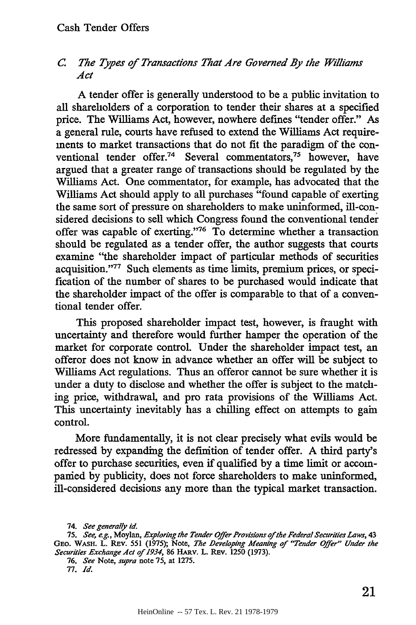#### *C. The Types of Transactions That Are Governed By the Williams Act*

A tender offer is generally understood to be a public invitation to all shareholders of a corporation to tender their shares at a specified price. The Williams Act, however, nowhere defines "tender offer." As a general rule, courts have refused to extend the Williams Act requirements to market transactions that do not fit the paradigm of the conventional tender offer.<sup>74</sup> Several commentators,<sup>75</sup> however, have argued that a greater range of transactions should be regulated by the Williams Act. One commentator, for example, has advocated that the Williams Act should apply to all purchases "found capable of exerting the same sort of pressure on shareholders to make uninformed, ill-considered decisions to sell which Congress found the conventional tender offer was capable of exerting."<sup>76</sup> To determine whether a transaction should be regulated as a tender offer, the author suggests that courts examine "the shareholder impact of particular methods of securities acquisition."<sup>77</sup> Such elements as time limits, premium prices, or specification of the number of shares to be purchased would indicate that the shareholder impact of the offer is comparable to that of a conventional tender offer.

This proposed shareholder impact test, however, is fraught with uncertainty and therefore would further hamper the operation of the market for corporate control. Under the shareholder impact test, an offeror does not know in advance whether an offer will be subject to Williams Act regulations. Thus an offeror cannot be sure whether it is under a duty to disclose and whether the offer is subject to the matching price, withdrawal, and pro rata provisions of the Williams Act. This uncertainty inevitably has a chilling effect on attempts to gain control.

More fundamentally, it is not clear precisely what evils would be redressed by expanding the definition of tender offer. A third party's offer to purchase securities, even if qualified by a time limit or accompanied by publicity, does not force shareholders to make uninformed, ill-considered decisions any more than the typical market transaction.

*76. See* Note, *supra* note **75,** at **1275.**

**77.** *Id.*

<sup>74.</sup> *See generally id.*

**<sup>75.</sup>** *See, e.g.,* Moylan, *Exploring the Tender Offer Provisions ofthe Federal SecuritiesLaws,* **43 GEO.** WASH. L. **Rv. 551 (1975);** Note, *The Developing Meaning of "Tender Offer" Under the Securities Exchange Act of 1934*, 86 HARV. L. REV. 1250 (1973).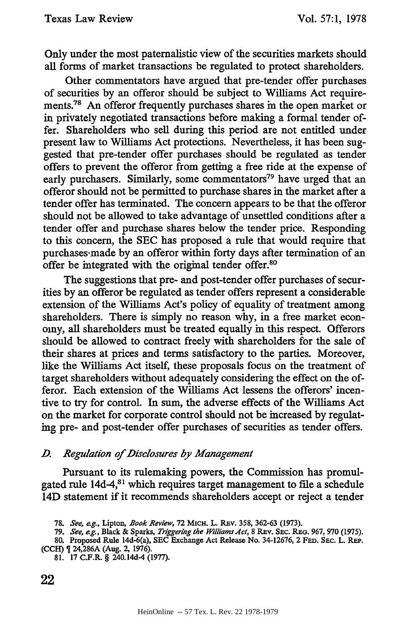Only under the most paternalistic view of the securities markets should all forms of market transactions be regulated to protect shareholders.

Other commentators have argued that pre-tender offer purchases of securities by an offeror should be subject to Williams Act requirements.<sup>78</sup> An offeror frequently purchases shares in the open market or in privately negotiated transactions before making a formal tender offer. Shareholders who sell during this period are not entitled under present law to Williams Act protections. Nevertheless, it has been suggested that pre-tender offer purchases should be regulated as tender offers to prevent the offeror from getting a free ride at the expense of early purchasers. Similarly, some commentators<sup>79</sup> have urged that an offeror should not be permitted to purchase shares in the market after a tender offer has terminated. The concern appears to be that the offeror should not be allowed to take advantage of unsettled conditions after a tender offer and purchase shares below the tender price. Responding to this concern, the SEC has proposed a rule that would require that purchases-made by an offeror within forty days after termination of an offer be integrated with the original tender offer.<sup>80</sup>

The suggestions that pre- and post-tender offer purchases of securities by an offeror be regulated as tender offers represent a considerable extension of the Williams Act's policy of equality of treatment among shareholders. There is simply no reason why, in a free market economy, all shareholders must be treated equally in this respect. Offerors should be allowed to contract freely with shareholders for the sale of their shares at prices and terms satisfactory to the parties. Moreover, like the Williams Act itself, these proposals focus on the treatment of target shareholders without adequately considering the effect on the offeror. Each extension of the Williams Act lessens the offerors' incentive to try for control. In sum, the adverse effects of the Williams Act on the market for corporate control should not be increased by regulating pre- and post-tender offer purchases of securities as tender offers.

#### *\_D. Regulation of Disclosures by Management*

Pursuant to its rulemaking powers, the Commission has promulgated rule 14d-4,<sup>81</sup> which requires target management to file a schedule 14D statement if it recommends shareholders accept or reject a tender

*79. See, e.g., Black & Sparks, Triggering the Williams Act, 8 REv. SEC. REG. 967, 970 (1975).* 

- (CCH) **I** 24,286A (Aug. **2,** 1976).
	- **81.** 17 C.F.R. § 240.14d-4 (1977).

<sup>78.</sup> *See,* eg., Lipton, *Book Review,* 72 MICH. L. REv. 358, 362-63 (1973).

<sup>80.</sup> Proposed Rule 14d-6(a), SEC Exchange Act Release No. 34-12676, 2 **FED.** SEC. L. RE.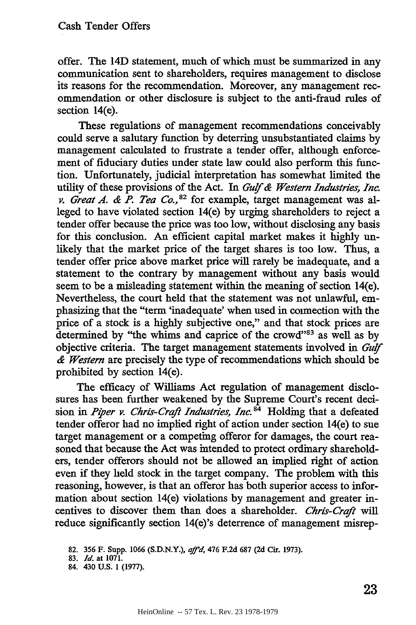offer. The 14D statement, much of which must be summarized in any communication sent to shareholders, requires management to disclose its reasons for the recommendation. Moreover, any management recommendation or other disclosure is subject to the anti-fraud rules of section 14(e).

These regulations of management recommendations conceivably could serve a salutary function by deterring unsubstantiated claims by management calculated to frustrate a tender offer, although enforcement of fiduciary duties under state law could also perform this function. Unfortunately, judicial interpretation has somewhat limited the utility of these provisions of the Act. In *6uf& Western Industries, Inc. v. Great A. & P. Tea Co.*,<sup>82</sup> for example, target management was alleged to have violated section 14(e) by urging shareholders to reject a tender offer because the price was too low, without disclosing any basis for this conclusion. An efficient capital market makes it highly unlikely that the market price of the target shares is too low. Thus, a tender offer price above market price will rarely be inadequate, and a statement to the contrary by management without any basis would seem to be a misleading statement within the meaning of section 14(e). Nevertheless, the court held that the statement was not unlawful, emphasizing that the "term 'inadequate' when used in connection with the price of a stock is a highly subjective one," and that stock prices are determined by "the whims and caprice of the crowd"83 as well as by objective criteria. The target management statements involved in *Guf & Western* are precisely the type of recommendations which should be prohibited by section 14(e).

The efficacy of Williams Act regulation of management disclosures has been further weakened by the Supreme Court's recent decision in *Piper v. Chris-Craft Industries, Inc.*<sup>84</sup> Holding that a defeated tender offeror had no implied right of action under section 14(e) to sue target management or a competing offeror for damages, the court reasoned that because the Act was intended to protect ordinary shareholders, tender offerors should not be allowed an implied right of action even if they held stock in the target company. The problem with this reasoning, however, is that an offeror has both superior access to information about section 14(e) violations by management and greater incentives to discover them than does a shareholder. *Chris-Craft will* reduce significantly section 14(e)'s deterrence of management misrep-

<sup>82. 356</sup> F. Supp. 1066 (S.D.N.Y.), *af'd,* 476 F.2d 687 (2d Cir. 1973).

<sup>83.</sup> *Id.* at 1071.

<sup>84. 430</sup> U.S. 1 (1977).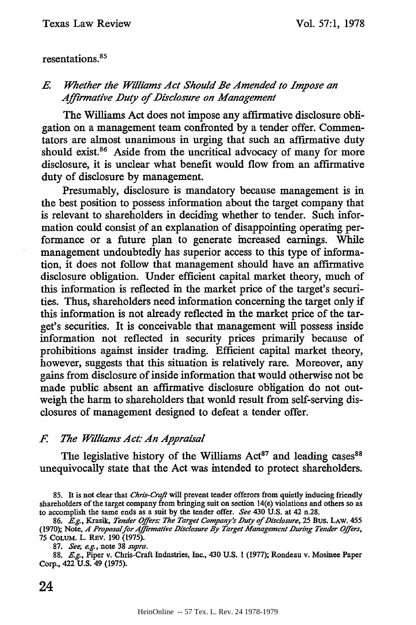resentations. <sup>85</sup>

# *E. Whether the Williams Act Should Be Amended to Impose an Affirmative Duty of Disclosure on Management*

The Williams Act does not impose any affirmative disclosure obligation on a management team confronted by a tender offer. Commentators are almost unanimous in urging that such an affirmative duty should exist.<sup>86</sup> Aside from the uncritical advocacy of many for more disclosure, it is unclear what benefit would flow from an affirmative duty of disclosure by management.

Presumably, disclosure is mandatory because management is in the best position to possess information about the target company that is relevant to shareholders in deciding whether to tender. Such information could consist of an explanation of disappointing operating performance or a future plan to generate increased earnings. While management undoubtedly has superior access to this type of information, it does not follow that management should have an affirmative disclosure obligation. Under efficient capital market theory, much of this information is reflected in the market price of the target's securities. Thus, shareholders need information concerning the target only if this information is not already reflected in the market price of the target's securities. It is conceivable that management will possess inside information not reflected in security prices primarily because of prohibitions against insider trading. Efficient capital market theory, however, suggests that this situation is relatively rare. Moreover, any gains from disclosure of inside information that would otherwise not be made public absent an affirmative disclosure obligation do not outweigh the harm to shareholders that would result from self-serving disclosures of management designed to defeat a tender offer.

#### *F. The Williams Act: An Appraisal*

The legislative history of the Williams Act<sup>87</sup> and leading cases<sup>88</sup> unequivocally state that the Act was intended to protect shareholders.

**<sup>85.</sup>** It is not clear **that** *Chris-Craft* will prevent tender offerors from quietly inducing friendly shareholders of the target company from bringing suit on section 14(e) violations and others so as to accomplish the same ends as a suit **by** the tender offer. *See* 430 **U.S.** at 42 n.28.

**<sup>86.</sup>** *E.g.,* Krasik, *Tender Offers: The Target Company's Duty of Disclosure,* **25** Bus. **LAW. 455** (1970); Note, *A Proposalfor ,4ffrmative Disclosure By Target Management During Tender Offers,* **75** COLuM. L. REv. 190 (1975).

<sup>87.</sup> *See, eg.,* note 38 *supra.*

<sup>88.</sup> *Eg.,* Piper v. Chris-Craft Industries, Inc., 430 U.S. **1** (1977); Rondeau v. Mosinee Paper Corp., 422 U.S. 49 **(1975).**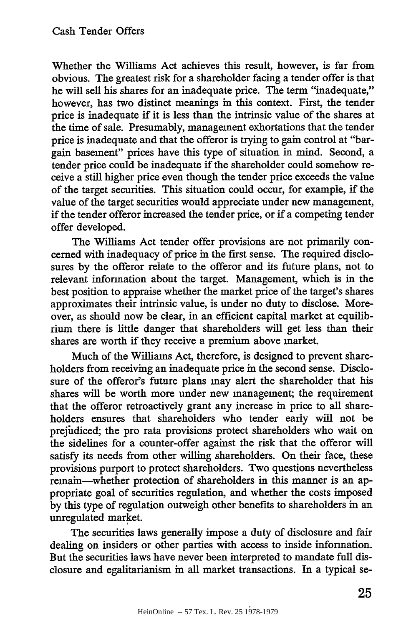Whether the Williams Act achieves this result, however, is far from obvious. The greatest risk for a shareholder facing a tender offer is that he will sell his shares for an inadequate price. The term "inadequate," however, has two distinct meanings in this context. First, the tender price is inadequate if it is less than the intrinsic value of the shares at the time of sale. Presumably, management exhortations that the tender price is inadequate and that the offeror is trying to gain control at "bargain basement" prices have this type of situation in mind. Second, a tender price could be inadequate if the shareholder could somehow receive a still higher price even though the tender price exceeds the value of the target securities. This situation could occur, for example, if the value of the target securities would appreciate under new management, if the tender offeror increased the tender price, or if a competing tender offer developed.

The Williams Act tender offer provisions are not primarily concerned with inadequacy of price in the first sense. The required disclosures by the offeror relate to the offeror and its future plans, not to relevant information about the target. Management, which is in the best position to appraise whether the market price of the target's shares approximates their intrinsic value, is under no duty to disclose. Moreover, as should now be clear, in an efficient capital market at equilibrium there is little danger that shareholders will get less than their shares are worth if they receive a premium above market.

Much of the Williams Act, therefore, is designed to prevent shareholders from receiving an inadequate price in the second sense. Disclosure of the offeror's future plans may alert the shareholder that his shares will be worth more under new management; the requirement that the offeror retroactively grant any increase in price to all shareholders ensures that shareholders who tender early will not be prejudiced; the pro rata provisions protect shareholders who wait on the sidelines for a counter-offer against the risk that the offeror will satisfy its needs from other willing shareholders. On their face, these provisions purport to protect shareholders. Two questions nevertheless remain-whether protection of shareholders in this manner is an appropriate goal of securities regulation, and whether the costs imposed by this type of regulation outweigh other benefits to shareholders in an unregulated market.

The securities laws generally impose a duty of disclosure and fair dealing on insiders or other parties with access to inside information. But the securities laws have never been interpreted to mandate full disclosure and egalitarianism in all market transactions. In a typical se-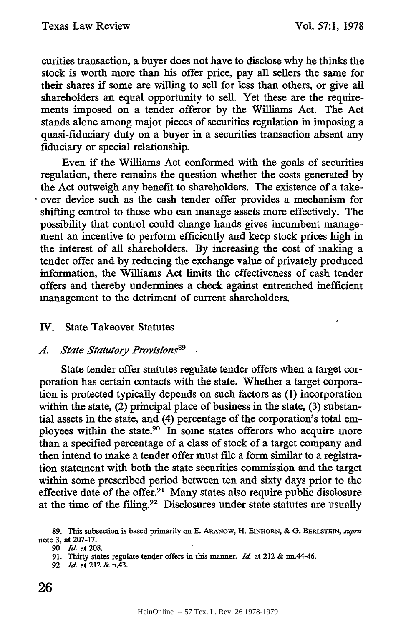curities transaction, a buyer does not have to disclose why he thinks the stock is worth more than his offer price, pay all sellers the same for their shares if some are willing to sell for less than others, or give all shareholders an equal opportunity to sell. Yet these are the requirements imposed on a tender offeror by the Williams Act. The Act stands alone among major pieces of securities regulation in imposing a quasi-fiduciary duty on a buyer in a securities transaction absent any fiduciary or special relationship.

Even if the Williams Act conformed with the goals of securities regulation, there remains the question whether the costs generated by the Act outweigh any benefit to shareholders. The existence of a takeover device such as the cash tender offer provides a mechanism for shifting control to those who can manage assets more effectively. The possibility that control could change hands gives incumbent management an incentive to perform efficiently and keep stock prices high in the interest of all shareholders. By increasing the cost of making a tender offer and by reducing the exchange value of privately produced information, the Williams Act limits the effectiveness of cash tender offers and thereby undermines a check against entrenched inefficient management to the detriment of current shareholders.

# IV. State Takeover Statutes

#### A. State Statutory Provisions<sup>89</sup>

State tender offer statutes regulate tender offers when a target corporation has certain contacts with the state. Whether a target corporation is protected typically depends on such factors as (1) incorporation within the state, (2) principal place of business in the state, (3) substantial assets in the state, and (4) percentage of the corporation's total employees within the state.<sup>90</sup> In some states offerors who acquire more than a specified percentage of a class of stock of a target company and then intend to make a tender offer must file a form similar to a registration statement with both the state securities commission and the target within some prescribed period between ten and sixty days prior to the effective date of the offer.<sup>91</sup> Many states also require public disclosure at the time of the filing.92 Disclosures under state statutes are usually

**92.** *Id.* at 212 **&** *nA3.*

**<sup>89.</sup>** This subsection is based primarily on **E.** ARANOW, **H. EINHORN, & G. BERLSTEIN,** *sUPra* note **3, at 207-17.**

**<sup>90.</sup>** *Id.* **at 208.**

**<sup>91.</sup>** Thirty states regulate tender **offers in** this **manner.** *Id* at 212 **&** nn.44-46.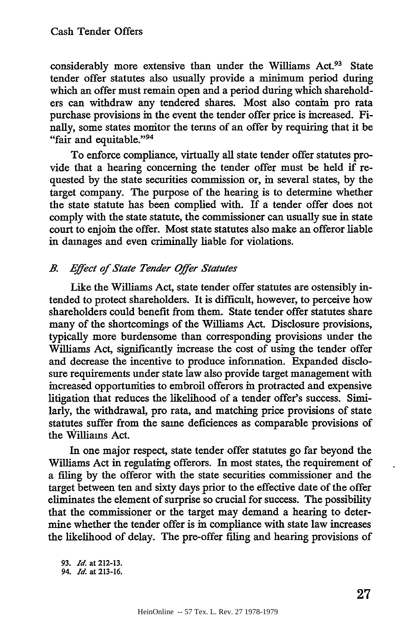considerably more extensive than under the Williams Act.<sup>93</sup> State tender offer statutes also usually provide a minimum period during which an offer must remain open and a period during which shareholders can withdraw any tendered shares. Most also contain pro rata purchase provisions in the event the tender offer price is increased. Finally, some states monitor the terms of an offer by requiring that it be "fair and equitable."<sup>94</sup>

To enforce compliance, virtually all state tender offer statutes provide that a hearing concerning the tender offer must be held if requested by the state securities commission or, in several states, by the target company. The purpose of the hearing is to determine whether the state statute has been complied with. If a tender offer does not comply with the state statute, the commissioner can usually sue in state court to enjoin the offer. Most state statutes also make an offeror liable in damages and even criminally liable for violations.

# *B. Effect of State Tender Offer Statutes*

Like the Williams Act, state tender offer statutes are ostensibly intended to protect shareholders. It is difficult, however, to perceive how shareholders could benefit from them. State tender offer statutes share many of the shortcomings of the Williams Act. Disclosure provisions, typically more burdensome than corresponding provisions under the Williams Act, significantly increase the cost of using the tender offer and decrease the incentive to produce information. Expanded disclosure requirements under state law also provide target management with increased opportunities to embroil offerors in protracted and expensive litigation that reduces the likelihood of a tender offer's success. Similarly, the withdrawal, pro rata, and matching price provisions of state statutes suffer from the same deficiences as comparable provisions of the Williams Act.

In one major respect, state tender offer statutes go far beyond the Williams Act in regulating offerors. In most states, the requirement of a filing by the offeror with the state securities commissioner and the target between ten and sixty days prior to the effective date of the offer eliminates the element of surprise so crucial for success. The possibility that the commissioner or the target may demand a hearing to determine whether the tender offer is in compliance with state law increases the likelihood of delay. The pre-offer filing and hearing provisions of

**93.** *Id.* at 212-13. *94. Id.* at **213-16.**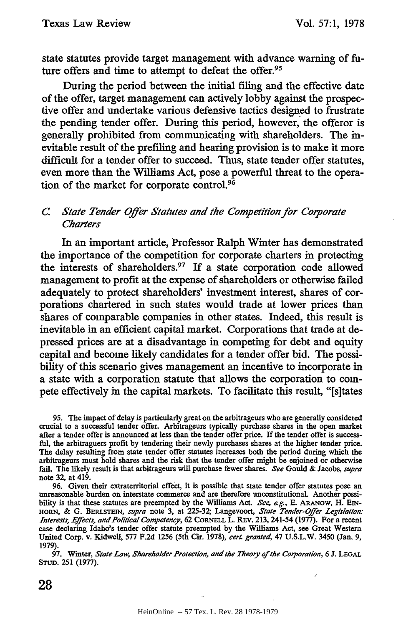state statutes provide target management with advance warning of future offers and time to attempt to defeat the offer.<sup>95</sup>

During the period between the initial filing and the effective date of the offer, target management can actively lobby against the prospective offer and undertake various defensive tactics designed to frustrate the pending tender offer. During this period, however, the offeror is generally prohibited from communicating with shareholders. The inevitable result of the prefiling and hearing provision is to make it more difficult for a tender offer to succeed. Thus, state tender offer statutes, even more than the Williams Act, pose a powerful threat to the operation of the market for corporate control.<sup>96</sup>

#### *C. State Tender Offer Statutes and the Competition for Corfporate Charters*

In an important article, Professor Ralph Winter has demonstrated the importance of the competition for corporate charters in protecting the interests of shareholders.<sup>97</sup> If a state corporation code allowed management to profit at the expense of shareholders or otherwise failed adequately to protect shareholders' investment interest, shares of corporations chartered in such states would trade at lower prices than shares of comparable companies in other states. Indeed, this result is inevitable in an efficient capital market. Corporations that trade at depressed prices are at a disadvantage in competing for debt and equity capital and become likely candidates for a tender offer bid. The possibility of this scenario gives management an incentive to incorporate in a state with a corporation statute that allows the corporation to compete effectively in the capital markets. To facilitate this result, "[s]tates

**95.** The impact of delay is particularly great on the arbitrageurs who are generally considered crucial to a successful tender offer. Arbitrageurs typically purchase shares in the open market after a tender offer is announced at less than the tender offer price. If the tender offer is successful, the arbitraguers profit by tendering their newly purchases shares at the higher tender price. The delay resulting from state tender offer statutes increases both the period during which the arbitrageurs must hold shares and the risk that the tender offer might be enjoined or otherwise fail. The likely result is that arbitrageurs will purchase fewer shares. *See* Gould & Jacobs, *supra* note 32, at 419.

96. Given their extraterritorial effect, it is possible that state tender offer statutes pose an unreasonable burden on interstate commerce and are therefore unconstitutional. Another possibility is that these statutes are preempted by the Williams Act. *See, e.g.,* E. ARANOW, H. **EIN-**HORN, & G. BERLsTEiN, *supra* note 3, at 225-32; Langevoort, *State Tender-Offer Legislation: Interests, Effects, and Political Competency, 62 CORNELL L. REV. 213, 241-54 (1977). For a recent* case declaring Idaho's tender offer statute preempted by the Williams Act, see Great Western United Corp. v. Kidwell, **577** F.2d 1256 (5th Cir. 1978), *cert. granted,* 47 U.S.L.W. 3450 (Jan. 9, 1979).

**97.** Winter, *State Law, Shareholder Protection, and the Theory of the Corporation,* 6 **J. LEGAL STUD.** 251 (1977).

28

ر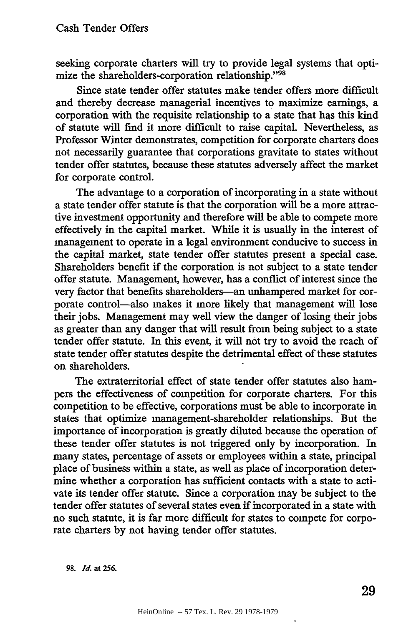seeking corporate charters will try to provide legal systems that optimize the shareholders-corporation relationship."<sup>98</sup>

Since state tender offer statutes make tender offers more difficult and thereby decrease managerial incentives to maximize earnings, a corporation with the requisite relationship to a state that has this kind of statute will find it more difficult to raise capital. Nevertheless, as Professor Winter demonstrates, competition for corporate charters does not necessarily guarantee that corporations gravitate to states without tender offer statutes, because these statutes adversely affect the market for corporate control.

The advantage to a corporation of incorporating in a state without a state tender offer statute is that the corporation will be a more attractive investment opportunity and therefore will be able to compete more effectively in the capital market. While it is usually in the interest of management to operate in a legal environment conducive to success in the capital market, state tender offer statutes present a special case. Shareholders benefit if the corporation is not subject to a state tender offer statute. Management, however, has a conflict of interest since the very factor that benefits shareholders-an unhampered market for corporate control-also makes it more likely that management will lose their jobs. Management may well view the danger of losing their jobs as greater than any danger that will result from being subject to a state tender offer statute. In this event, it will not try to avoid the reach of state tender offer statutes despite the detrimental effect of these statutes on shareholders.

The extraterritorial effect of state tender offer statutes also hampers the effectiveness of competition for corporate charters. For this competition to be effective, corporations must be able to incorporate in states that optimize management-shareholder relationships. But the importance of incorporation is greatly diluted because the operation of these tender offer statutes is not triggered only by incorporation. In many states, percentage of assets or employees within a state, principal place of business within a state, as well as place of incorporation determine whether a corporation has sufficient contacts with a state to activate its tender offer statute. Since a corporation may be subject to the tender offer statutes of several states even if incorporated in a state with no such statute, it is far more difficult for states to compete for corporate charters by not having tender offer statutes.

**98.** *Id.* at **256.**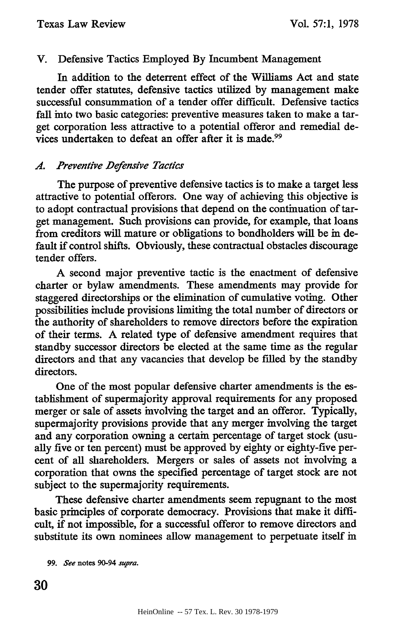# V. Defensive Tactics Employed By Incumbent Management

In addition to the deterrent effect of the Williams Act and state tender offer statutes, defensive tactics utilized by management make successful consummation of a tender offer difficult. Defensive tactics fall into two basic categories: preventive measures taken to make a target corporation less attractive to a potential offeror and remedial devices undertaken to defeat an offer after it is made.<sup>99</sup>

# *A. Preventive Defensive Tactics*

The purpose of preventive defensive tactics is to make a target less attractive to potential offerors. One way of achieving this objective is to adopt contractual provisions that depend on the continuation of target management. Such provisions can provide, for example, that loans from creditors will mature or obligations to bondholders will be in default if control shifts. Obviously, these contractual obstacles discourage tender offers.

A second major preventive tactic is the enactment of defensive charter or bylaw amendments. These amendments may provide for staggered directorships or the elimination of cumulative voting. Other possibilities include provisions limiting the total number of directors or the authority of shareholders to remove directors before the expiration of their terms. **A** related type of defensive amendment requires that standby successor directors be elected at the same time as the regular directors and that any vacancies that develop be filled by the standby directors.

One of the most popular defensive charter amendments is the establishment of supermajority approval requirements for any proposed merger or sale of assets involving the target and an offeror. Typically, supermajority provisions provide that any merger involving the target and any corporation owning a certain percentage of target stock (usually five or ten percent) must be approved by eighty or eighty-five percent of all shareholders. Mergers or sales of assets not involving a corporation that owns the specified percentage of target stock are not subject to the supermajority requirements.

These defensive charter amendments seem repugnant to the most basic principles of corporate democracy. Provisions that make it difficult, if not impossible, for a successful offeror to remove directors and substitute its own nominees allow management to perpetuate itself in

*99. See* notes **90-94** *supra.*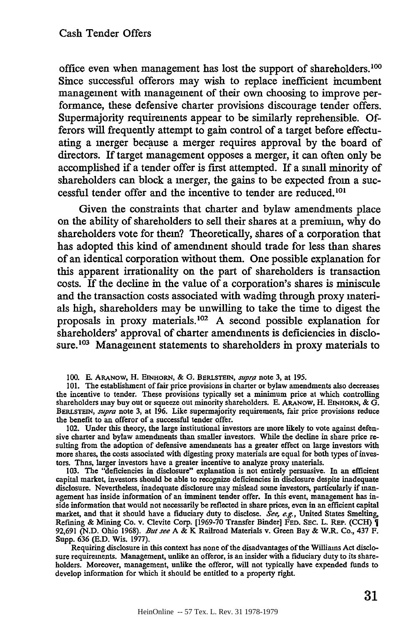office even when management has lost the support of shareholders.<sup>100</sup> Since successful offerors may wish to replace inefficient incumbent management with management of their own choosing to improve performance, these defensive charter provisions discourage tender offers. Supermajority requirements appear to be similarly reprehensible. **Of**ferors will frequently attempt to gain control of a target before effectuating a merger because a merger requires approval **by** the board of directors. If target management opposes a merger, it can often only be accomplished if a tender offer is first attempted. **If** a small minority of shareholders can block a merger, the gains to be expected from a successful tender offer and the incentive to tender are reduced.<sup>101</sup>

Given the constraints that charter and bylaw amendments place on the ability of shareholders to sell their shares at a premium, why do shareholders vote for them? Theoretically, shares of a corporation that has adopted this kind of amendment should trade for less than shares of an identical corporation without them. One possible explanation for this apparent irrationality on the part of shareholders is transaction costs. If the decline in the value of a corporation's shares is miniscule and the transaction costs associated with wading through proxy materials high, shareholders may be unwilling to take the time to digest the proposals in proxy materials. <sup>02</sup>**A** second possible explanation for shareholders' approval of charter amendments is deficiencies in disclosure.<sup>103</sup> Management statements to shareholders in proxy materials to

**100.** F ARANOW, H. **EINHORN,** & **G. BERLSTEIN,** *supa* **note 3, at 195.**

**101.** The establishment of fair price provisions in charter or bylaw amendments also decreases the incentive to tender. These provisions typically set a minimum price at which controlling shareholders may buy out or squeeze out minority shareholders. E. ARANOW, H. EINHORN, & G. BERLSTErN, *supra* note 3, at 196. Like supermajority requirements, fair price provisions reduce the benefit to an offeror of a successful tender offer.

102. Under this theory, the large institutional investors are more likely to vote against defensive charter and bylaw amendments than smaller investors. While the decline in share price resulting from the adoption of defensive amendments has a greater effect on large investors with more shares, the costs associated with digesting proxy materials are equal for both types of investors. Thns, larger investors have a greater incentive to analyze proxy materials.

103. The "deficiencies in disclosure" explanation is not entirely persuasive. In an efficient capital market, investors should be able to recognize deficiencies in disclosure despite inadequate disclosure. Nevertheless, inadequate disclosure may mislead some investors, particularly if management has inside information of an imminent tender offer. In this event, management has inside information that would not necessarily be reflected in share prices, even in an efficient capital market, and that it should have a fiduciary duty to disclose. *See, e.g.,* United States Smelting, Refining & Mining Co. v. Clevite Corp. [1969-70 Transfer Binder] **FED.** SEC. L. **REP. (CCH) 1** 92,691 (N.D. Ohio 1968). *But see A* & K Railroad Materials v. Green Bay & W.R. Co., 437 F. Supp. 636 (E.D. Wis. 1977).

Requiring disclosure in this context has none of the disadvantages of the Williams Act disclosure requirements. Management, unlike an offeror, is an insider with a fiduciary duty to its shareholders. Moreover, management, unlike the offeror, will not typically have expended funds to develop information for which it should be entitled to a property right.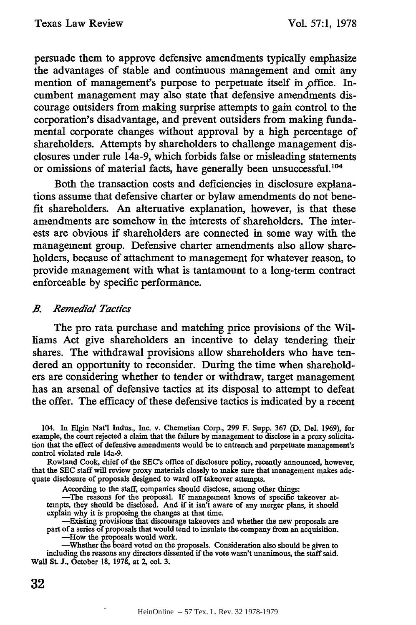persuade them to approve defensive amendments typically emphasize the advantages of stable and continuous management and omit any mention of management's purpose to perpetuate itself in office. Incumbent management may also state that defensive amendments discourage outsiders from making surprise attempts to gain control to the corporation's disadvantage, and prevent outsiders from making fundamental corporate changes without approval by a high percentage of shareholders. Attempts by shareholders to challenge management disclosures under rule 14a-9, which forbids false or misleading statements or omissions of material facts, have generally been unsuccessful.<sup>104</sup>

Both the transaction costs and deficiencies in disclosure explanations assume that defensive charter or bylaw amendments do not benefit shareholders. An alternative explanation, however, is that these amendments are somehow in the interests of shareholders. The interests are obvious if shareholders are connected in some way with the management group. Defensive charter amendments also allow shareholders, because of attachment to management for whatever reason, to provide management with what is tantamount to a long-term contract enforceable by specific performance.

#### *B. Remedial Tactics*

The pro rata purchase and matching price provisions of the Williams Act give shareholders an incentive to delay tendering their shares. The withdrawal provisions allow shareholders who have tendered an opportunity to reconsider. During the time when shareholders are considering whether to tender or withdraw, target management has an arsenal of defensive tactics at its disposal to attempt to defeat the offer. The efficacy of these defensive tactics is indicated by a recent

104. In Elgin Nat'l Indus., Inc. v. Chemetian Corp., **299** F. Supp. **367 (D.** Del. 1969), for example, the court rejected a claim that the failure by management to disclose in a proxy solicitation that the effect of defensive amendments would be to entrench and perpetuate management's control violated rule 14a-9.

Rowland Cook, chief of the SEC's office of disclosure policy, recently announced, however, that the SEC staff will review proxy materials closely to make sure that management makes adequate disclosure of proposals designed to ward off takeover attempts.

According to the staff, companies should disclose, among other things:

-The reasons for the proposal. **If** management knows of specific takeover at-tempts, they should be disclosed. And if it isn't aware of any merger plans, it should explain why it is proposing the changes at that time.

-Existing provisions that discourage takeovers and whether the new proposals are part of a series of proposals that would tend to insulate the company from an acquisition. -How the proposals would work.

-Whether the board voted on the proposals. Consideration also should be given to including the reasons any directors dissented if the vote wasn't unanimous, the staff said. Wall St. J., October 18, 1978, at 2, col. 3.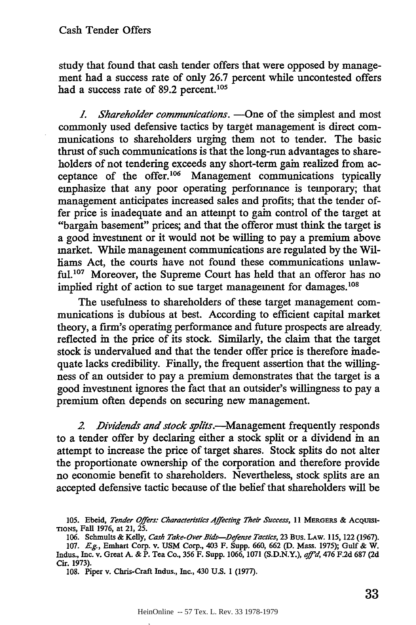study that found that cash tender offers that were opposed by management had a success rate of only 26.7 percent while uncontested offers had a success rate of 89.2 percent.<sup>105</sup>

*1. Shareholder communications.* - One of the simplest and most commonly used defensive tactics by target management is direct communications to shareholders urging them not to tender. The basic thrust of such communications is that the long-run advantages to shareholders of not tendering exceeds any short-term gain realized from acceptance of the offer.<sup>106</sup> Management communications typically emphasize that any poor operating performance is temporary; that management anticipates increased sales and profits; that the tender offer price is inadequate and an attempt to gain control of the target at "bargain basement" prices; and that the offeror must think the target is a good investment or it would not be willing to pay a premium above market. While management communications are regulated by the Williams Act, the courts have not found these communications unlawful.<sup>107</sup> Moreover, the Supreme Court has held that an offeror has no implied right of action to sue target management for damages.<sup>108</sup>

The usefulness to shareholders of these target management communications is dubious at best. According to efficient capital market theory, a firm's operating performance and future prospects are already. reflected in the price of its stock. Similarly, the claim that the target stock is undervalued and that the tender offer price is therefore inadequate lacks credibility. Finally, the frequent assertion that the willingness of an outsider to pay a premium demonstrates that the target is a good investment ignores the fact that an outsider's willingness to pay a premium often depends on securing new management.

*2 Dividends and stock splits.-Management* frequently responds to a tender offer by declaring either a stock split or a dividend in an attempt to increase the price of target shares. Stock splits do not alter the proportionate ownership of the corporation and therefore provide no economic benefit to shareholders. Nevertheless, stock splits are an accepted defensive tactic because of the belief that shareholders will be

**<sup>105.</sup>** Ebeid, *Tender Offers: Characteristics Affecting Their Success,* 11 **MERGERS** & ACQUISI-TIONS, Fall 1976, at 21, *25.*

<sup>106.</sup> Schmults & Kelly, *Cash Take-Over Bids-Defense Tactics,* 23 Bus. **LAW.** 115, **122** (1967).

<sup>107.</sup> *Eg.,* Emhart Corp. v. **USM** Corp., 403 F. Supp. 660, 662 (D. Mass. 1975); Gulf& W. Indus., Inc. v. Great A. & P. Tea Co., 356 F. Supp. 1066, 1071 (S.D.N.Y.), *aff<sup>2</sup>d*, 476 F.2d 687 (2d) Cir. 1973).

<sup>108.</sup> Piper v. Chris-Craft Indus., Inc., 430 U.S. 1 (1977).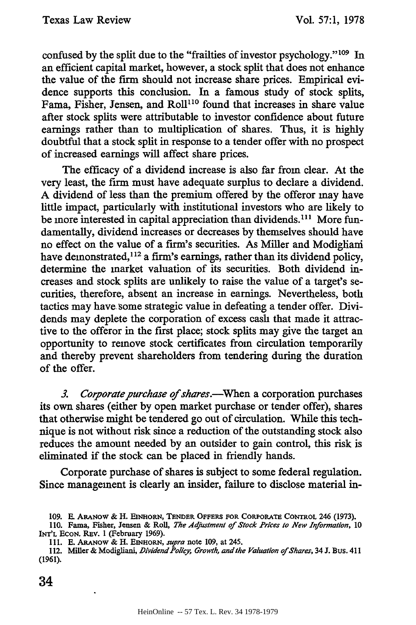confused by the split due to the "frailties of investor psychology." $109$  In an efficient capital market, however, a stock split that does not enhance the value of the firm should not increase share prices. Empirical evidence supports this conclusion. In a famous study of stock splits, Fama, Fisher, Jensen, and Roll<sup>110</sup> found that increases in share value after stock splits were attributable to investor confidence about future earnings rather than to multiplication of shares. Thus, it is highly doubtful that a stock split in response to a tender offer with no prospect of increased earnings will affect share prices.

The efficacy of a dividend increase is also far from clear. At the very least, the firm must have adequate surplus to declare a dividend. A dividend of less than the premium offered by the offeror may have little impact, particularly with institutional investors who are likely to be more interested in capital appreciation than dividends.<sup>111</sup> More fundamentally, dividend increases or decreases by themselves should have no effect on the value of a firm's securities. As Miller and Modigliani have demonstrated,  $112$  a firm's earnings, rather than its dividend policy, determine the market valuation of its securities. Both dividend increases and stock splits are unlikely to raise the value of a target's securities, therefore, absent an increase in earnings. Nevertheless, both tactics may have-some strategic value in defeating a tender offer. Dividends may deplete the corporation of excess cash that made it attractive to the offeror in the first place; stock splits may give the target an opportunity to remove stock certificates from circulation temporarily and thereby prevent shareholders from tendering during the duration of the offer.

3. Corporate purchase of shares.--When a corporation purchases its own shares (either by open market purchase or tender offer), shares that otherwise might be tendered go out of circulation. While this technique is not without risk since a reduction of the outstanding stock also reduces the amount needed by an outsider to gain control, this risk is eliminated if the stock can be placed in friendly hands.

Corporate purchase of shares is subject to some federal regulation. Since management is clearly an insider, failure to disclose material in-

112. Miller & Modigliani, *Dividend Policy, Growth, and the Valuation of Shares*, 34 J. Bus. 411 (1961).

34

<sup>109.</sup> **E. ARANOW** & H. **EINioR, TENDER OFFERS FOR CORPORATE** CONTROL 246 **(1973).**

**<sup>110.</sup>** Fama, Fisher, Jensen & Roll, *The Adjustment of Stock Prices to New Information,* **10 INT'L** ECON. REv. 1 (February 1969).

<sup>111.</sup> **E.** ARANOW & H. **EINHORN,** *supra* note 109, at 245.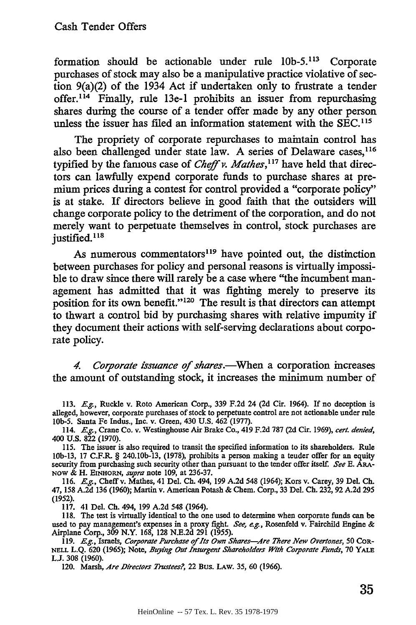formation should be actionable under rule 10b-5.<sup>113</sup> Corporate purchases of stock may also be a manipulative practice violative of section 9(a)(2) of the 1934 Act if undertaken only to frustrate a tender offer.<sup>114</sup> Finally, rule 13e-1 prohibits an issuer from repurchasing shares during the course of a tender offer made **by** any other person unless the issuer has filed an information statement with the SEC.<sup>115</sup>

The propriety of corporate repurchases to maintain control has also been challenged under state law. A series of Delaware cases,<sup>116</sup> typified by the famous case of *Cheff v. Mathes*,<sup>117</sup> have held that directors can lawfully expend corporate funds to purchase shares at premium prices during a contest for control provided a "corporate policy" is at stake. If directors believe in good faith that the outsiders **will** change corporate policy to the detriment of the corporation, and do not merely want to perpetuate themselves in control, stock purchases are justified.<sup>118</sup>

As numerous commentators<sup>119</sup> have pointed out, the distinction between purchases for policy and personal reasons is virtually impossible to draw since there will rarely be a case where "the incumbent management has admitted that it was fighting merely to preserve its position for its own benefit."<sup>120</sup> The result is that directors can attempt to thwart a control bid **by** purchasing shares with relative impunity if they document their actions with self-serving declarations about corporate policy.

*4. Corporate issuance of shares.-When* a corporation increases the amount of outstanding stock, it increases the minimum number of

113. *E.g.,* Ruckle v. Roto American Corp., 339 F.2d 24 (2d Cir. 1964). If no deception is alleged, however, corporate purchases of stock to perpetuate control are not actionable under rule **lOb-5.** Santa Fe Indus., Inc. v. Green, 430 U.S. 462 (1977).

114. *E.g.,* Crane Co. v. Westinghouse Air Brake Co., 419 F.2d 787 (2d Cir. 1969), *cert. denied,* 400 **U.S.** 822 (1970).

115. The issuer is also required to transit the specified information to its shareholders. Rule lOb-13, 17 C.F.R. § 240.10b-13, (1978), prohibits a person making a tender offer for an equity security from purchasing such security other than pursuant to the tender offer itself. *See* E. **ARA-NOW &** H. EINHORN, *supra* note **109,** at 236-37.

116. *E.g.,* Cheffv. Mathes, 41 Del. Ch. 494, 199 A.2d 548 (1964); Kors v. Carey, 39 Del. Ch. 47, 158 A.2d 136 (1960); Martin v. American Potash **&** Chem. Corp., 33 Del. Ch. 232, 92 A.2d 295 (1952).

117. 41 **Del.** Ch. 494, 199 A.2d 548 (1964).

118. The test is virtually identical to the one used to determine when corporate funds can be used to pay management's expenses in a proxy fight. *See, e.g.*, Rosenfeld v. Fairchild Engine & Airplane Corp., 309 N.Y. 168, 128 N.E.2d 291 **(1955).**

119. **E.g.,** Israels, *Corporate Purchase of* **lts** *Own Shares-4re There New Oertones,* **50** CoR-**NELL** L.Q. 620 (1965); Note, *Buying Out Insurgent Shareholders With Corporate Funds,* 70 **YALE LJ.** 308 (1960).

120. Marsh, *Are Directors Trustees?,* 22 Bus. LAW. **35,** 60 (1966).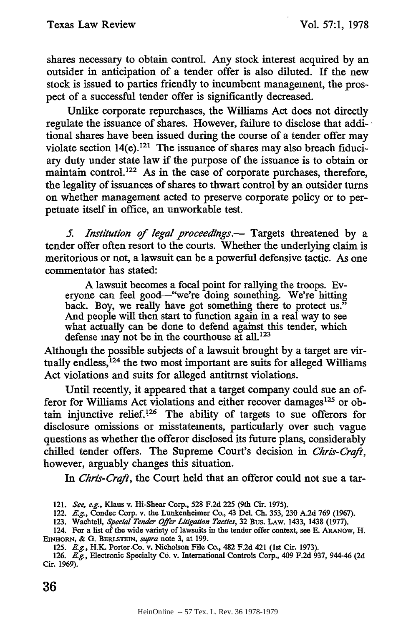shares necessary to obtain control. Any stock interest acquired by an outsider in anticipation of a tender offer is also diluted. If the new stock is issued to parties friendly to incumbent management, the prospect of a successful tender offer is significantly decreased.

Unlike corporate repurchases, the Williams Act does not directly regulate the issuance of shares. However, failure to disclose that additional shares have been issued during the course of a tender offer may violate section  $14(e)$ .<sup>121</sup> The issuance of shares may also breach fiduciary duty under state law if the purpose of the issuance is to obtain or maintain control.<sup>122</sup> As in the case of corporate purchases, therefore, the legality of issuances of shares to thwart control by an outsider turns on whether management acted to preserve corporate policy or to perpetuate itself in office, an unworkable test.

*5. Institution of legal proceedings.-* Targets threatened by a tender offer often resort to the courts. Whether the underlying claim is meritorious or not, a lawsuit can be a powerful defensive tactic. As one commentator has stated:

A lawsuit becomes a focal point for rallying the troops. Everyone can feel good--"we're doing something. We're hitting back. Boy, we really have got something there to protect us." And people will then start to function again in a real way to see what actually can be done to defend against this tender, which defense may not be in the courthouse at all.<sup>123</sup>

Although the possible subjects of a lawsuit brought by a target are virtually endless, $124$  the two most important are suits for alleged Williams Act violations and suits for alleged antitrnst violations.

Until recently, it appeared that a target company could sue an offeror for Williams Act violations and either recover damages<sup>125</sup> or obtain injunctive relief.126 The ability of targets to sue offerors for disclosure omissions or misstatements, particularly over such vague questions as whether the offeror disclosed its future plans, considerably chilled tender offers. The Supreme Court's decision in *Chris-Craft,* however, arguably changes this situation.

*In Chris-Craft,* the Court held that an offeror could not sue a tar-

<sup>121.</sup> *See, e.g.,* Klaus v. Hi-Shear Corp., 528 F.2d 225 (9th Cir. 1975).

<sup>122.</sup> *E.g.,* Condec Corp. v. the Lunkenheimer Co., 43 Del. Ch. 353, 230 A.2d 769 (1967).

<sup>123.</sup> Wachtell, *Special Tender Offer Litigation Tactics,* 32 Bus. LAW. 1433, 1438 (1977).

<sup>124.</sup> For a list of the wide variety of lawsuits in the tender offer context, see E. ARANOW, H. **EINHORN, & G.** BERLSTEIN, *supra* note 3, at 199.

<sup>125.</sup> *E.g.*, H.K. Porter-Co. v. Nicholson File Co., 482 F.2d 421 (1st Cir. 1973).

<sup>126.</sup> *E.g.*, Electronic Specialty Co. v. International Controls Corp., 409 F.2d 937, 944-46 (2d Cir. 1969).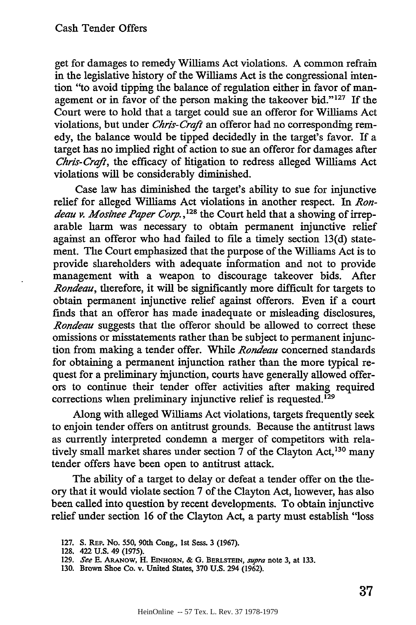get for damages to remedy Williams Act violations. A common refrain in the legislative history of the Williams Act is the congressional intention "to avoid tipping the balance of regulation either in favor of management or in favor of the person making the takeover bid."<sup>127</sup> If the Court were to hold that a target could sue an offeror for Williams Act violations, but under *Chris-Craft* an offeror had no corresponding remedy, the balance would be tipped decidedly in the target's favor. If a target has no implied right of action to sue an offeror for damages after *Chris-Craft*, the efficacy of hitigation to redress alleged Williams Act violations will be considerably diminished.

Case law has diminished the target's ability to sue for injunctive relief for alleged Williams Act violations in another respect. In *Ron*deau v. Mosinee Paper Corp.,<sup>128</sup> the Court held that a showing of irreparable harm was necessary to obtain permanent injunctive relief against an offeror who had failed to file a timely section 13(d) statement. The Court emphasized that the purpose of the Williams Act is to provide shareholders with adequate information and not to provide management with a weapon to discourage takeover bids. After *Rondeau,* therefore, it will be significantly more difficult for targets to obtain permanent injunctive relief against offerors. Even if a court finds that an offeror has made inadequate or misleading disclosures, *Rondeau* suggests that the offeror should be allowed to correct these omissions or misstatements rather than be subject to permanent injunction from making a tender offer. While *Rondeau* concerned standards for obtaining a permanent injunction rather than the more typical request for a preliminary injunction, courts have generally allowed offerors to continue their tender offer activities after making required corrections when preliminary injunctive relief is requested.<sup>129</sup>

Along with alleged Williams Act violations, targets frequently seek to enjoin tender offers on antitrust grounds. Because the antitrust laws as currently interpreted condemn a merger of competitors with relatively small market shares under section  $\overline{7}$  of the Clayton Act,<sup>130</sup> many tender offers have been open to antitrust attack.

The ability of a target to delay or defeat a tender offer on the theory that it would violate section 7 of the Clayton Act, however, has also been called into question by recent developments. To obtain injunctive relief under section 16 of the Clayton Act, a party must establish "loss

<sup>127.</sup> S. REp. No. **550,** 90th Cong., 1st Sess. 3 (1967).

<sup>128. 422</sup> U.S. 49 (1975).

<sup>129.</sup> *See* E. ARANOW, H. EINHORN, & G. BERLSTEIN, *supra* note 3, at 133.

<sup>130.</sup> Brown Shoe Co. v. United States, 370 U.S. 294 (1962).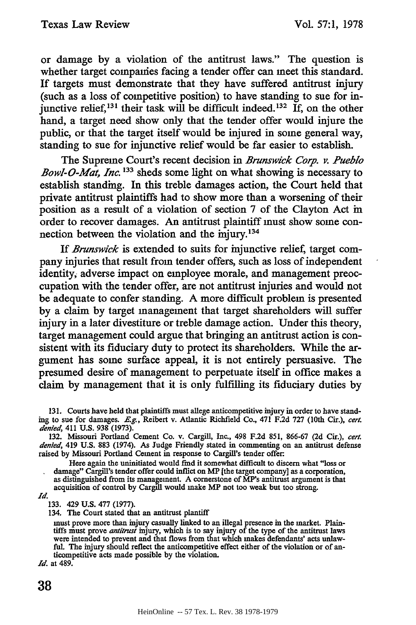or damage by a violation of the antitrust laws." The question is whether target companies facing a tender offer can meet this standard. If targets must demonstrate that they have suffered antitrust injury (such as a loss of competitive position) to have standing to sue for injunctive relief,  $^{131}$  their task will be difficult indeed.<sup>132</sup> If, on the other hand, a target need show only that the tender offer would injure the public, or that the target itself would be injured in some general way, standing to sue for injunctive relief would be far easier to establish.

The Supreme Court's recent decision in *Brunswick Corp. v. Pueblo Bowl-O-Mat, Inc. 33* sheds some light on what showing is necessary to establish standing. In this treble damages action, the Court held that private antitrust plaintiffs had to show more than a worsening of their position as a result of a violation of section 7 of the Clayton Act in order to recover damages. An antitrust plaintiff must show some connection between the violation and the mjury.<sup>134</sup>

If *Brunswick* is extended to suits for injunctive relief, target company injuries that result from tender offers, such as loss of independent identity, adverse impact on employee morale, and management preoccupation with the tender offer, are not antitrust injuries and would not be adequate to confer standing. A more difficult problem is presented by a claim by target management that target shareholders will suffer injury in a later divestiture or treble damage action. Under this theory, target management could argue that bringing an antitrust action is consistent with its fiduciary duty to protect its shareholders. While the argument has some surface appeal, it is not entirely persuasive. The presumed desire of management to perpetuate itself in office makes a claim by management that it is only fulfilling its fiduciary duties by

Here again the uninitiated would find it somewhat difficult to discern what "loss or damage" Cargill's tender offer could inflict on MP [the target company] as a corporation, as distinguished from its management. A cornerstone of MP's antitrust argument is that acquisition of control by Cargill would make MP not too weak but too strong.

*Id.*

133. 429 U.S. 477 (1977).

134. The Court stated that an antitrust plantiff

must prove more than injury casually linked to an illegal presence in the market. Plain-tiffs must prove *antitrust* injury, which is to say injury of the type of the antitrust laws were intended to prevent and that flows from that which makes defendants' acts unlawful. The injury should reflect the anticompetitive effect either of the violation or of anticompetitive acts made possible by the violation.

*Id.* at 489.

**<sup>131.</sup>** Courts have held that plaintiffs must allege anticompetitive injury in order to have standing to sue for damages. *E.g.,* Reibert v. Atlantic Richfield Co., 471 F.2d 727 (10th Cir.), *cert. denied,* 411 U.S. 938 (1973).

<sup>132.</sup> Missouri Portland Cement Co. v. Cargill, Inc., 498 F.2d 851, 866-67 (2d Cir.), *cert. denied,* 419 U.S. 883 (1974). As Judge Friendly stated in commenting on an antitrust defense raised by Missouri Portland Cement in response to Cargill's tender offer.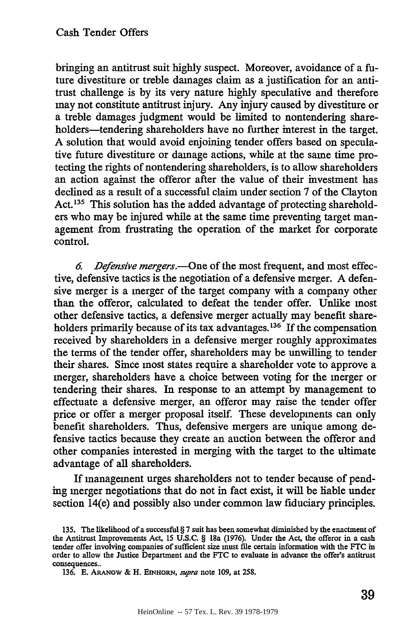bringing an antitrust suit highly suspect. Moreover, avoidance of a future divestiture or treble damages claim as a justification for an antitrust challenge is by its very nature highly speculative and therefore may not constitute antitrust injury. Any injury caused by divestiture or a treble damages judgment would be limited to nontendering shareholders—tendering shareholders have no further interest in the target. A solution that would avoid enjoining tender offers based on speculative future divestiture or damage actions, while at the same time protecting the rights of nontendering shareholders, is to allow shareholders an action against the offeror after the value of their investment has declined as a result of a successful claim under section 7 of the Clayton Act.<sup>135</sup> This solution has the added advantage of protecting shareholders who may be injured while at the same time preventing target management from frustrating the operation of the market for corporate control.

*6. Defensive mergers.-One* of the most frequent, and most effective, defensive tactics is the negotiation of a defensive merger. A defensive merger is a merger of the target company with a company other than the offeror, calculated to defeat the tender offer. Unlike most other defensive tactics, a defensive merger actually may benefit shareholders primarily because of its tax advantages. **1 <sup>36</sup>**If the compensation received by shareholders in a defensive merger roughly approximates the terms of the tender offer, shareholders may be unwilling to tender their shares. Since most states require a shareholder vote to approve a merger, shareholders have a choice between voting for the merger or tendering their shares. In response to an attempt by management to effectuate a defensive merger, an offeror may raise the tender offer price or offer a merger proposal itself. These developments can only benefit shareholders. Thus, defensive mergers are unique among defensive tactics because they create an auction between the offeror and other companies interested in merging with the target to the ultimate advantage of all shareholders.

If management urges shareholders not to tender because of pending merger negotiations that do not in fact exist, it will be liable under section 14(e) and possibly also under common law fiduciary principles.

**<sup>135.</sup>** The likelihood of a successful § **7** suit has been somewhat diminished **by** the enactment of the Antitrust Improvements Act, 15 U.S.C. § 18a (1976). Under the Act, the offeror in a cash tender offer involving companies of sufficient size must file certain information with the **FTC** in order to allow the Justice Department and the **FTC** to evaluate in advance the offer's antitrust consequences..

<sup>136.</sup> E. ARANOW & H. EINHORN, *supra* note 109, at 258.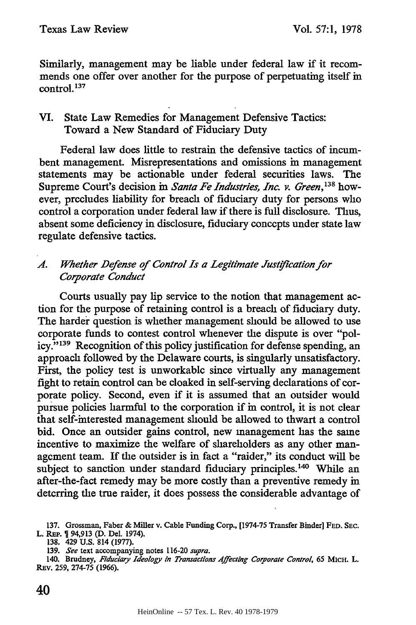Similarly, management may be liable under federal law if it recommends one offer over another for the purpose of perpetuating itself in control. **<sup>13</sup> <sup>7</sup>**

# VI. State Law Remedies for Management Defensive Tactics: Toward a New Standard of Fiduciary Duty

Federal law does little to restrain the defensive tactics of incumbent management. Misrepresentations and omissions in management statements may be actionable under federal securities laws. The Supreme Court's decision in *Santa Fe Industries, Inc. v. Green*, <sup>138</sup> however, precludes liability for breach of fiduciary duty for persons who control a corporation under federal law if there is full disclosure. Thus, absent some deficiency in disclosure, fiduciary concepts under state law regulate defensive tactics.

## A1. *Whether Defense of Control Is a Legitimate Justfication for Corporate Conduct*

Courts usually pay lip service to the notion that management action for the purpose of retaining control is a breach of fiduciary duty. The harder question is whether management should be allowed to use corporate funds to contest control whenever the dispute is over "policy."<sup>139</sup> Recognition of this policy justification for defense spending, an approach followed by the Delaware courts, is singularly unsatisfactory. First, the policy test is unworkable since virtually any management fight to retain control can be cloaked in self-serving declarations of corporate policy. Second, even if it is assumed that an outsider would pursue policies harmful to the corporation if in control, it is not clear that self-interested management should be allowed to thwart a control bid. Once an outsider gains control, new management has the same incentive to maximize the welfare of shareholders as any other management team. If the outsider is in fact a "raider," its conduct will be subject to sanction under standard fiduciary principles.<sup>140</sup> While an after-the-fact remedy may be more costly than a preventive remedy in deterring the true raider, it does possess the considerable advantage of

138. 429 **U.S.** 814 (1977).

**139.** *See* text accompanying notes 116-20 *supra.*

<sup>137.</sup> Grossman, Faber & Miller v. Cable Funding Corp., [1974-75 Transfer Binder] **FED. SEC.** L. **REP. 1** 94,913 **(D.** Del. 1974).

<sup>140.</sup> Brudney, *Fiduciary Ideology in Transactions Affecting Corporate Control,* 65 MICH. L. REV. 259, 274-75 (1966).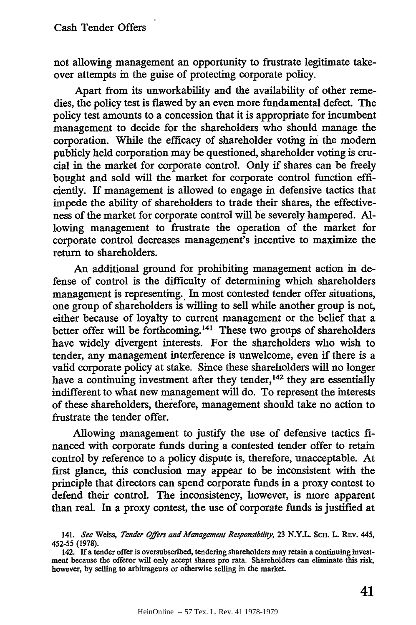not allowing management an opportunity to frustrate legitimate takeover attempts in the guise of protecting corporate policy.

Apart from its unworkability and the availability of other remedies, the policy test is flawed by an even more fundamental defect. The policy test amounts to a concession that it is appropriate for incumbent management to decide for the shareholders who should manage the corporation. While the efficacy of shareholder voting in the modem publicly held corporation may be questioned, shareholder voting is crucial in the market for corporate control. Only if shares can be freely bought and sold will the market for corporate control function efficiently. If management is allowed to engage in defensive tactics that impede the ability of shareholders to trade their shares, the effectiveness of the market for corporate control will be severely hampered. Allowing management to frustrate the operation of the market for corporate control decreases management's incentive to maximize the return to shareholders.

An additional ground for prohibiting management action in defense of control is the difficulty of determining which shareholders management is representing.. In most contested tender offer situations, one group of shareholders is willing to sell while another group is not, either because of loyalty to current management or the belief that a better offer will be forthcoming.<sup>141</sup> These two groups of shareholders have widely divergent interests. For the shareholders who wish to tender, any management interference is unwelcome, even if there is a valid corporate policy at stake. Since these shareholders will no longer have a continuing investment after they tender,<sup>142</sup> they are essentially indifferent to what new management will do. To represent the interests of these shareholders, therefore, management should take no action to frustrate the tender offer.

Allowing management to justify the use of defensive tactics **fi**nanced with corporate funds during a contested tender offer to retain control by reference to a policy dispute is, therefore, unacceptable. At first glance, this conclusion may appear to be inconsistent with the principle that directors can spend corporate funds in a proxy contest to defend their control. The inconsistency, however, is more apparent than real. In a proxy contest, the use of corporate funds is justified at

<sup>141.</sup> See Weiss, Tender Offers and Management Responsibility, 23 N.Y.L. SCH. L. REV. 445, 452-55 (1978).

<sup>142.</sup> If a tender offer is oversubscribed, tendering shareholders may retain a continuing investment because the offeror will only accept shares pro rata. Shareholders can eliminate this risk, however, **by** selling to arbitrageurs or otherwise selling in the market.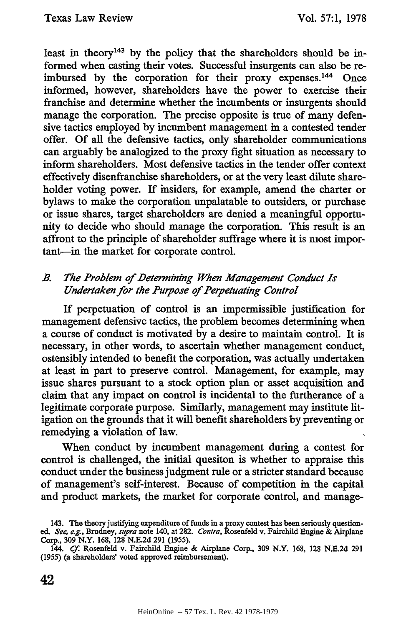least in theory<sup>143</sup> by the policy that the shareholders should be informed when casting their votes. Successful insurgents can also be reimbursed by the corporation for their proxy expenses.<sup>144</sup> Once informed, however, shareholders have the power to exercise their franchise and determine whether the incumbents or insurgents should manage the corporation. The precise opposite is true of many defensive tactics employed by incumbent management in a contested tender offer. Of all the defensive tactics, only shareholder communications can arguably be analogized to the proxy fight situation as necessary to inform shareholders. Most defensive tactics in the tender offer context effectively disenfranchise shareholders, or at the very least dilute shareholder voting power. If insiders, for example, amend the charter or bylaws to make the corporation unpalatable to outsiders, or purchase or issue shares, target shareholders are denied a meaningful opportunity to decide who should manage the corporation. This result is an affront to the principle of shareholder suffrage where it is most important-in the market for corporate control.

# *B The Problem of Determining When Management Conduct Is Undertaken for the Purpose of Perpetuating Control*

If perpetuation of control is an impermissible justification for management defensive tactics, the problem becomes determining when a course of conduct is motivated by a desire to maintain control. It is necessary, in other words, to ascertain whether management conduct, ostensibly intended to benefit the corporation, was actually undertaken at least in part to preserve control. Management, for example, may issue shares pursuant to a stock option plan or asset acquisition and claim that any impact on control is incidental to the furtherance of a legitimate corporate purpose. Similarly, management may institute litigation on the grounds that it will benefit shareholders by preventing or remedying a violation of law.

When conduct by incumbent management during a contest for control is challenged, the initial quesiton is whether to appraise this conduct under the business judgment rule or a stricter standard because of management's self-interest. Because of competition in the capital and product markets, the market for corporate control, and manage-

<sup>143.</sup> The theory justifying expenditure of funds in a proxy contest has been seriously questioned. *See, e.g.,* Brudney, *supra* note 140, at 282. *Contra,* Rosenfeld v. Fairchild Engine & Airplane Corp., **309** N.Y. 168, 128 **N.E.2d 291 (1955).**

<sup>144.</sup> *Cf.* Rosenfeld v. Fairchild Engine & Airplane Corp., **309** N.Y. 168, **128 N.E.2d 291 (1955)** (a shareholders' voted approved reimbursement).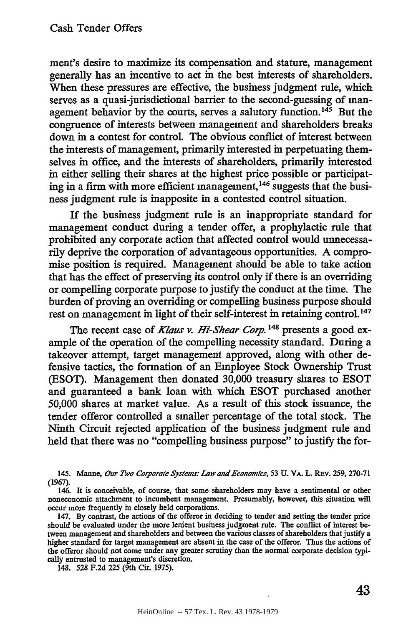ment's desire to maximize its compensation and stature, management generally has an incentive to act in the best interests of shareholders. When these pressures are effective, the business judgment rule, which serves as a quasi-jurisdictional barrier to the second-guessing of management behavior by the courts, serves a salutory function.<sup>145</sup> But the congruence of interests between management and shareholders breaks down in a contest for control. The obvious conflict of interest between the interests of management, primarily interested in perpetuating themselves in office, and the interests of shareholders, primarily interested in either selling their shares at the highest price possible or participating in a firm with more efficient management,<sup>146</sup> suggests that the business judgment rule is inapposite in a contested control situation.

If the business judgment rule is an inappropriate standard for management conduct during a tender offer, a prophylactic rule that prohibited any corporate action that affected control would unnecessarily deprive the corporation of advantageous opportunities. A compromise position is required. Management should be able to take action that has the effect of preserving its control only if there is an overriding or compelling corporate purpose to justify the conduct at the time. The burden of proving an overriding or compelling business purpose should rest on management in light of their self-interest in retaining control.<sup>147</sup>

The recent case of *Klaus v. Hi-Shear Corp. 1 48* presents a good example of the operation of the compelling necessity standard. During a takeover attempt, target management approved, along with other defensive tactics, the formation of an Employee Stock Ownership Trust (ESOT). Management then donated 30,000 treasury shares to ESOT and guaranteed a bank loan with which ESOT purchased another 50,000 shares at market value. As a result of this stock issuance, the tender offeror controlled a smaller percentage of the total stock. The Ninth Circuit rejected application of the business judgment rule and held that there was no "compelling business purpose" to justify the for-

148. **528** F.2d 225 (9th Cir. 1975).

<sup>145.</sup> Manne, *Oar Two Corporate Systems: Law and Economics,* **53 U.** VA. L. Rav. 259, 270-71 (1967).

<sup>146.</sup> It is conceivable, of course, that some shareholders may have a sentimental or other noneconomic attachment to incumbent management. Presumably, however, this situation will occur more frequently in closely held corporations.

<sup>147.</sup> By contrast, the actions of the offeror in deciding to tender and setting the tender price should be evaluated under the more lenient business judgment rule. The conflict of interest between management and shareholders and between the various classes of shareholders that justify a higher standard for target management are absent in the case of the offeror. Thus the actions of the offeror should not come under any greater scrutiny than the normal corporate decision typically entrusted to management's discretion.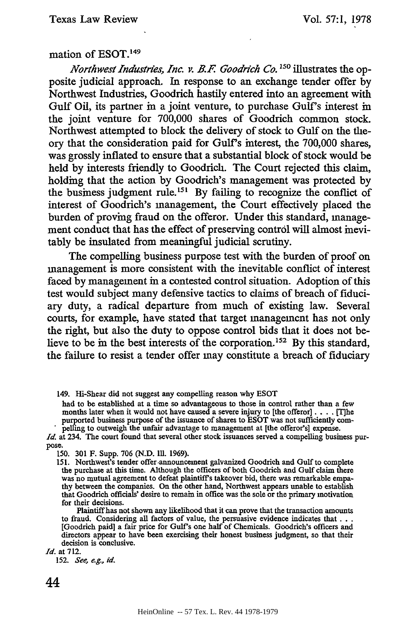#### mation of **ESOT. <sup>149</sup>**

*Northwest Industries, Inc. v. B.F Goodrich Co.* **150** illustrates the opposite judicial approach. In response to an exchange tender offer **by** Northwest Industries, Goodrich hastily entered into an agreement with Gulf Oil, its partner in a joint venture, to purchase Gulf's interest in the joint venture for **700,000** shares of Goodrich common stock. Northwest attempted to block the delivery of stock to Gulf on the theory that the consideration paid for Gulf's interest, the **700,000** shares, was grossly inflated to ensure that a substantial block of stock would be held **by** interests friendly to Goodrich. The Court rejected this claim, holding that the action **by** Goodrich's management was protected **by** the business judgment rule.<sup>151</sup> By failing to recognize the conflict of interest of Goodrich's management, the Court effectively placed the burden of proving fraud on the offeror. Under this standard, management conduct that has the effect of preserving control **will** almost inevitably be insulated from meaningful judicial scrutiny.

The compelling business purpose test with the burden of proof on management is more consistent with the inevitable conflict of interest faced **by** management in a contested control situation. Adoption of this test would subject many defensive tactics to claims of breach of fiduciary duty, a radical departure from much of existing law. Several courts, for example, have stated that target management has not only the right, but also the duty to oppose control bids that it does not believe to be in the best interests of the corporation. **152 By** this standard, the failure to resist a tender offer may constitute a breach of fiduciary

149. Hi-Shear did not suggest any compelling reason why ESOT

had to be established at a time so advantageous to those in control rather than a few months later when it would not have caused a severe injury to [the offeror]. . **.** . [T]he purported business purpose of the issuance of shares to ESOT was not sufficiently compelling to outweigh the unfair advantage to management at [the offeror's] expense.

*Id.* at 234. The court found that several other stock issuances served a compelling business purpose.

150. 301 F. Supp. 706 (N.D. **Ill.** 1969).

151. Northwest's tender offer announcement galvanized Goodrich and Gulf to complete the purchase at this time. Although the officers of both Goodrich and Gulf claim there was no mutual agreement to defeat plaintiffs takeover bid, there was remarkable empathy between the companies. On the other hand, Northwest appears unable to establish that Goodrich officials' desire to remain in office was the sole or the primary motivation for their decisions.

Plaintiff has not shown any likelihood that it can prove that the transaction amounts to fraud. Considering all factors of value, the persuasive evidence indicates that... [Goodrich paid] a fair price for Gulf's one half of Chemicals. Goodrich's officers and directors appear to have been exercising their honest business judgment, so that their decision is conclusive.

*Id.* at 712.

152. *See, e.g., id.*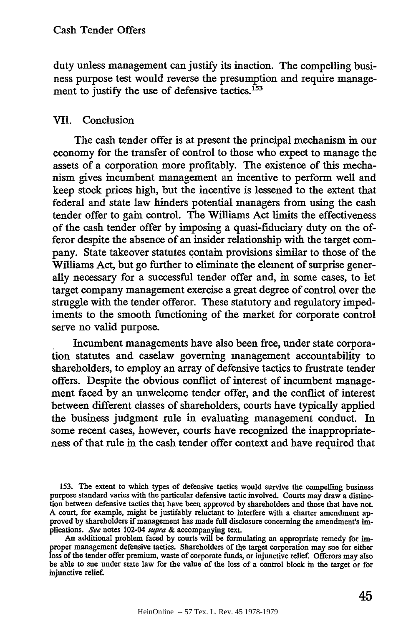duty unless management can justify its inaction. The compelling business purpose test would reverse the presumption and require management to justify the use of defensive tactics.<sup>153</sup>

# VII. Conclusion

The cash tender offer is at present the principal mechanism in our economy for the transfer of control to those who expect to manage the assets of a corporation more profitably. The existence of this mechanism gives incumbent management an incentive to perform well and keep stock prices high, but the incentive is lessened to the extent that federal and state law hinders potential managers from using the cash tender offer to gain control. The Williams Act limits the effectiveness of the cash tender offer by imposing a quasi-fiduciary duty on the offeror despite the absence of an insider relationship with the target company. State takeover statutes contain provisions similar to those of the Williams Act, but go further to eliminate the element of surprise generally necessary for a successful tender offer and, in some cases, to let target company management exercise a great degree of control over the struggle with the tender offeror. These statutory and regulatory impediments to the smooth functioning of the market for corporate control serve no valid purpose.

Incumbent managements have also been free, under state corporation statutes and caselaw governing management accountability to shareholders, to employ an array of defensive tactics to frustrate tender offers. Despite the obvious conflict of interest of incumbent management faced by an unwelcome tender offer, and the conflict of interest between different classes of shareholders, courts have typically applied the business judgment rule in evaluating management conduct. In some recent cases, however, courts have recognized the inappropriateness of that rule in the cash tender offer context and have required that

**153.** The extent to which types of defensive tactics would survive the compelling business purpose standard varies with the particular defensive tactic involved. Courts may draw a distinction between defensive tactics that have been approved by shareholders and those that have not. A court, for example, might be justifably reluctant to interfere with a charter amendment approved by shareholders if management has made full disclosure concerning the amendment's implications. See notes 102-04 supra & accompanying text.

An additional problem faced by courts will be formulating an appropriate remedy for improper management defensive tactics. Shareholders of the target corporation may sue for either loss of the tender offer premium, waste of corporate funds, or injunctive relief. Offerors may also be able to sue under state law for the value of the loss of a control block in the target or for injunctive relief.